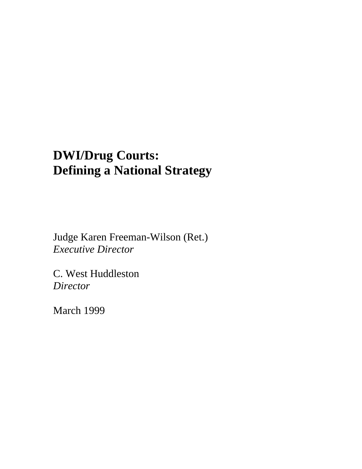# **DWI/Drug Courts: Defining a National Strategy**

Judge Karen Freeman-Wilson (Ret.) *Executive Director* 

C. West Huddleston *Director* 

March 1999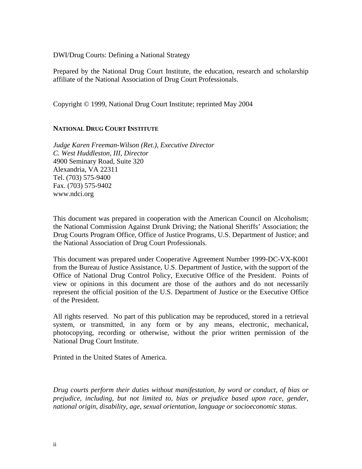DWI/Drug Courts: Defining a National Strategy

Prepared by the National Drug Court Institute, the education, research and scholarship affiliate of the National Association of Drug Court Professionals.

Copyright © 1999, National Drug Court Institute; reprinted May 2004

## **NATIONAL DRUG COURT INSTITUTE**

*Judge Karen Freeman-Wilson (Ret.), Executive Director C. West Huddleston, III, Director* 4900 Seminary Road, Suite 320 Alexandria, VA 22311 Tel. (703) 575-9400 Fax. (703) 575-9402 www.ndci.org

This document was prepared in cooperation with the American Council on Alcoholism; the National Commission Against Drunk Driving; the National Sheriffs' Association; the Drug Courts Program Office, Office of Justice Programs, U.S. Department of Justice; and the National Association of Drug Court Professionals.

This document was prepared under Cooperative Agreement Number 1999-DC-VX-K001 from the Bureau of Justice Assistance, U.S. Department of Justice, with the support of the Office of National Drug Control Policy, Executive Office of the President. Points of view or opinions in this document are those of the authors and do not necessarily represent the official position of the U.S. Department of Justice or the Executive Office of the President.

All rights reserved. No part of this publication may be reproduced, stored in a retrieval system, or transmitted, in any form or by any means, electronic, mechanical, photocopying, recording or otherwise, without the prior written permission of the National Drug Court Institute.

Printed in the United States of America.

*Drug courts perform their duties without manifestation, by word or conduct, of bias or prejudice, including, but not limited to, bias or prejudice based upon race, gender, national origin, disability, age, sexual orientation, language or socioeconomic status.*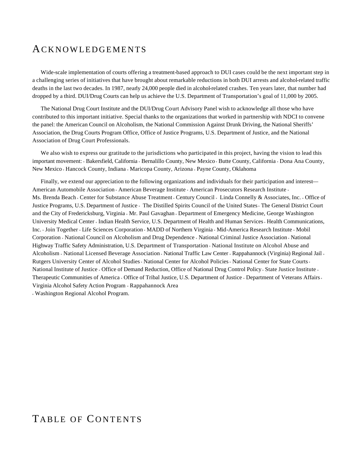# ACKNOWLEDGEMENTS

Wide-scale implementation of courts offering a treatment-based approach to DUI cases could be the next important step in a challenging series of initiatives that have brought about remarkable reductions in both DUI arrests and alcohol-related traffic deaths in the last two decades. In 1987, nearly 24,000 people died in alcohol-related crashes. Ten years later, that number had dropped by a third. DUI/Drug Courts can help us achieve the U.S. Department of Transportation's goal of 11,000 by 2005.

The National Drug Court Institute and the DUI/Drug Court Advisory Panel wish to acknowledge all those who have contributed to this important initiative. Special thanks to the organizations that worked in partnership with NDCI to convene the panel: the American Council on Alcoholism, the National Commission Against Drunk Driving, the National Sheriffs' Association, the Drug Courts Program Office, Office of Justice Programs, U.S. Department of Justice, and the National Association of Drug Court Professionals.

We also wish to express our gratitude to the jurisdictions who participated in this project, having the vision to lead this important movement: «Bakersfield, California «Bernalillo County, New Mexico «Butte County, California »Dona Ana County, New Mexico <sup>I</sup> Hancock County, Indiana <sup>I</sup> Maricopa County, Arizona <sup>I</sup> Payne County, Oklahoma

Finally, we extend our appreciation to the following organizations and individuals for their participation and interest— American Automobile Association « American Beverage Institute « American Prosecutors Research Institute « Ms. Brenda Beach Genter for Substance Abuse Treatment Century Council Linda Connelly & Associates, Inc. Gentler of Justice Programs, U.S. Department of Justice The Distilled Spirits Council of the United States The General District Court and the City of Fredericksburg, Virginia « Mr. Paul Gavaghan « Department of Emergency Medicine, George Washington University Medical Center « Indian Health Service, U.S. Department of Health and Human Services « Health Communications, Inc. Join Together Life Sciences Corporation MADD of Northern Virginia Mid-America Research Institute Mobil Corporation u National Council on Alcoholism and Drug Dependence u National Criminal Justice Association u National Highway Traffic Safety Administration, U.S. Department of Transportation u National Institute on Alcohol Abuse and Alcoholism « National Licensed Beverage Association « National Traffic Law Center « Rappahannock (Virginia) Regional Jail « Rutgers University Center of Alcohol Studies « National Center for Alcohol Policies « National Center for State Courts » National Institute of Justice G Office of Demand Reduction, Office of National Drug Control Policy Gate Justice Institute G Therapeutic Communities of America <sub>"</sub> Office of Tribal Justice, U.S. Department of Justice <sub>"</sub> Department of Veterans Affairs <sub>"</sub> Virginia Alcohol Safety Action Program <sub>·</sub> Rappahannock Area

<sup>u</sup> Washington Regional Alcohol Program.

# TABLE OF CONTENTS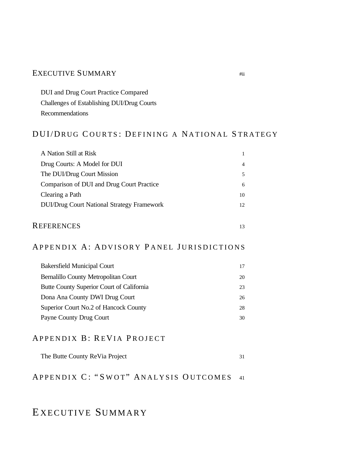## EXECUTIVE SUMMARY #ii

DUI and Drug Court Practice Compared Challenges of Establishing DUI/Drug Courts Recommendations

# DUI/DRUG C OURTS : DEFINING A NATIONAL S TRATEGY

| A Nation Still at Risk                            |    |
|---------------------------------------------------|----|
| Drug Courts: A Model for DUI                      | 4  |
| The DUI/Drug Court Mission                        |    |
| Comparison of DUI and Drug Court Practice         | 6  |
| Clearing a Path                                   | 10 |
| <b>DUI/Drug Court National Strategy Framework</b> | 12 |
|                                                   |    |

# REFERENCES 13

# APPENDIX A: ADVISORY PANEL JURISDICTIONS

| <b>Bakersfield Municipal Court</b>        | 17 |
|-------------------------------------------|----|
| Bernalillo County Metropolitan Court      | 20 |
| Butte County Superior Court of California | 23 |
| Dona Ana County DWI Drug Court            | 26 |
| Superior Court No.2 of Hancock County     | 28 |
| Payne County Drug Court                   | 30 |

## APPENDIX B: REVIA PROJECT

# APPENDIX C: "SWOT" ANALYSIS OUTCOMES 41

# E XECUTIVE SUMMARY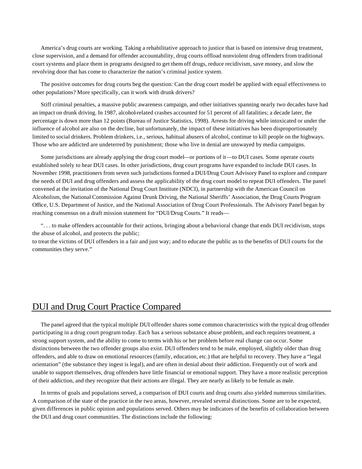America's drug courts are working. Taking a rehabilitative approach to justice that is based on intensive drug treatment, close supervision, and a demand for offender accountability, drug courts offload nonviolent drug offenders from traditional court systems and place them in programs designed to get them off drugs, reduce recidivism, save money, and slow the revolving door that has come to characterize the nation's criminal justice system.

The positive outcomes for drug courts beg the question: Can the drug court model be applied with equal effectiveness to other populations? More specifically, can it work with drunk drivers?

Stiff criminal penalties, a massive public awareness campaign, and other initiatives spanning nearly two decades have had an impact on drunk driving. In 1987, alcohol-related crashes accounted for 51 percent of all fatalities; a decade later, the percentage is down more than 12 points (Bureau of Justice Statistics, 1998). Arrests for driving while intoxicated or under the influence of alcohol are also on the decline, but unfortunately, the impact of these initiatives has been disproportionately limited to social drinkers. Problem drinkers, i.e., serious, habitual abusers of alcohol, continue to kill people on the highways. Those who are addicted are undeterred by punishment; those who live in denial are unswayed by media campaigns.

Some jurisdictions are already applying the drug court model—or portions of it—to DUI cases. Some operate courts established solely to hear DUI cases. In other jurisdictions, drug court programs have expanded to include DUI cases. In November 1998, practitioners from seven such jurisdictions formed a DUI/Drug Court Advisory Panel to explore and compare the needs of DUI and drug offenders and assess the applicability of the drug court model to repeat DUI offenders. The panel convened at the invitation of the National Drug Court Institute (NDCI), in partnership with the American Council on Alcoholism, the National Commission Against Drunk Driving, the National Sheriffs' Association, the Drug Courts Program Office, U.S. Department of Justice, and the National Association of Drug Court Professionals. The Advisory Panel began by reaching consensus on a draft mission statement for "DUI/Drug Courts." It reads—

". . . to make offenders accountable for their actions, bringing about a behavioral change that ends DUI recidivism, stops the abuse of alcohol, and protects the public;

to treat the victims of DUI offenders in a fair and just way; and to educate the public as to the benefits of DUI courts for the communities they serve."

## DUI and Drug Court Practice Compared

The panel agreed that the typical multiple DUI offender shares some common characteristics with the typical drug offender participating in a drug court program today. Each has a serious substance abuse problem, and each requires treatment, a strong support system, and the ability to come to terms with his or her problem before real change can occur. Some distinctions between the two offender groups also exist. DUI offenders tend to be male, employed, slightly older than drug offenders, and able to draw on emotional resources (family, education, etc.) that are helpful to recovery. They have a "legal orientation" (the substance they ingest is legal), and are often in denial about their addiction. Frequently out of work and unable to support themselves, drug offenders have little financial or emotional support. They have a more realistic perception of their addiction, and they recognize that their actions are illegal. They are nearly as likely to be female as male.

In terms of goals and populations served, a comparison of DUI courts and drug courts also yielded numerous similarities. A comparison of the state of the practice in the two areas, however, revealed several distinctions. Some are to be expected, given differences in public opinion and populations served. Others may be indicators of the benefits of collaboration between the DUI and drug court communities. The distinctions include the following: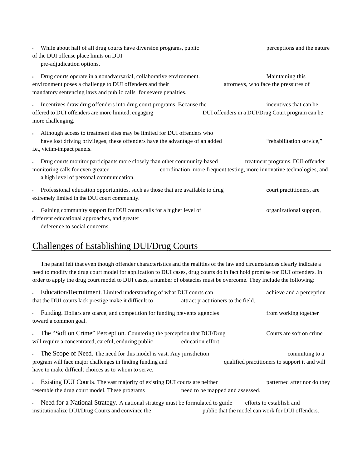| While about half of all drug courts have diversion programs, public<br>$\mathbf{u}$<br>of the DUI offense place limits on DUI<br>pre-adjudication options.                                             | perceptions and the nature                                                                                 |
|--------------------------------------------------------------------------------------------------------------------------------------------------------------------------------------------------------|------------------------------------------------------------------------------------------------------------|
| Drug courts operate in a nonadversarial, collaborative environment.<br>environment poses a challenge to DUI offenders and their<br>mandatory sentencing laws and public calls for severe penalties.    | Maintaining this<br>attorneys, who face the pressures of                                                   |
| Incentives draw drug offenders into drug court programs. Because the<br>$\mathbf{u}$<br>offered to DUI offenders are more limited, engaging<br>more challenging.                                       | incentives that can be.<br>DUI offenders in a DUI/Drug Court program can be                                |
| Although access to treatment sites may be limited for DUI offenders who<br>$\mathbf{u}$<br>have lost driving privileges, these offenders have the advantage of an added<br>i.e., victim-impact panels. | "rehabilitation service,"                                                                                  |
| Drug courts monitor participants more closely than other community-based<br>monitoring calls for even greater<br>a high level of personal communication.                                               | treatment programs. DUI-offender<br>coordination, more frequent testing, more innovative technologies, and |
| Professional education opportunities, such as those that are available to drug<br>extremely limited in the DUI court community.                                                                        | court practitioners, are                                                                                   |
| Gaining community support for DUI courts calls for a higher level of<br>different educational approaches, and greater<br>deference to social concerns.                                                 | organizational support,                                                                                    |

# Challenges of Establishing DUI/Drug Courts

The panel felt that even though offender characteristics and the realities of the law and circumstances clearly indicate a need to modify the drug court model for application to DUI cases, drug courts do in fact hold promise for DUI offenders. In order to apply the drug court model to DUI cases, a number of obstacles must be overcome. They include the following:

| • Education/Recruitment. Limited understanding of what DUI courts can<br>that the DUI courts lack prestige make it difficult to                                                                        | achieve and a perception<br>attract practitioners to the field.   |
|--------------------------------------------------------------------------------------------------------------------------------------------------------------------------------------------------------|-------------------------------------------------------------------|
| Funding. Dollars are scarce, and competition for funding prevents agencies<br>$\mathbf{u}$<br>toward a common goal.                                                                                    | from working together                                             |
| • The "Soft on Crime" Perception. Countering the perception that DUI/Drug<br>will require a concentrated, careful, enduring public                                                                     | Courts are soft on crime.<br>education effort.                    |
| The Scope of Need. The need for this model is vast. Any jurisdiction<br>$_{\rm u}$<br>program will face major challenges in finding funding and<br>have to make difficult choices as to whom to serve. | committing to a<br>qualified practitioners to support it and will |
| Existing DUI Courts. The vast majority of existing DUI courts are neither<br>$\mathbf{u}$<br>resemble the drug court model. These programs                                                             | patterned after nor do they<br>need to be mapped and assessed.    |
| Nood for a National Stratogy, A national stratogy must be formulated to quide _____________________                                                                                                    |                                                                   |

Deed for a National Strategy. A national strategy must be formulated to guide efforts to establish and institutionalize DUI/Drug Courts and convince the public that the model can work for DUI offenders.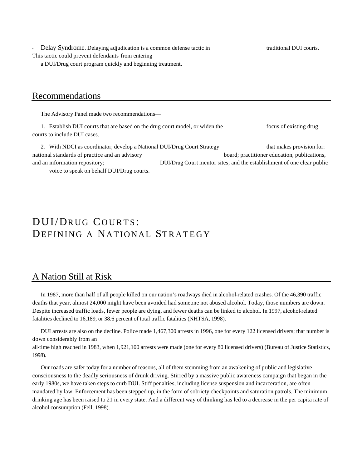Delay Syndrome. Delaying adjudication is a common defense tactic in traditional DUI courts. This tactic could prevent defendants from entering

a DUI/Drug court program quickly and beginning treatment.

## Recommendations

The Advisory Panel made two recommendations—

1. Establish DUI courts that are based on the drug court model, or widen the focus of existing drug courts to include DUI cases.

2. With NDCI as coordinator, develop a National DUI/Drug Court Strategy that makes provision for: national standards of practice and an advisory board; practitioner education, publications, and an information repository; DUI/Drug Court mentor sites; and the establishment of one clear public voice to speak on behalf DUI/Drug courts.

# DUI/DRUG COURTS: DEFINING A NATIONAL STRATEGY

# A Nation Still at Risk

In 1987, more than half of all people killed on our nation's roadways died in alcohol-related crashes. Of the 46,390 traffic deaths that year, almost 24,000 might have been avoided had someone not abused alcohol. Today, those numbers are down. Despite increased traffic loads, fewer people are dying, and fewer deaths can be linked to alcohol. In 1997, alcohol-related fatalities declined to 16,189, or 38.6 percent of total traffic fatalities (NHTSA, 1998).

DUI arrests are also on the decline. Police made 1,467,300 arrests in 1996, one for every 122 licensed drivers; that number is down considerably from an all-time high reached in 1983, when 1,921,100 arrests were made (one for every 80 licensed drivers) (Bureau of Justice Statistics, 1998).

Our roads are safer today for a number of reasons, all of them stemming from an awakening of public and legislative consciousness to the deadly seriousness of drunk driving. Stirred by a massive public awareness campaign that began in the early 1980s, we have taken steps to curb DUI. Stiff penalties, including license suspension and incarceration, are often mandated by law. Enforcement has been stepped up, in the form of sobriety checkpoints and saturation patrols. The minimum drinking age has been raised to 21 in every state. And a different way of thinking has led to a decrease in the per capita rate of alcohol consumption (Fell, 1998).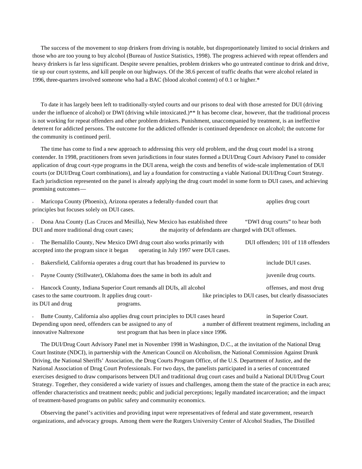The success of the movement to stop drinkers from driving is notable, but disproportionately limited to social drinkers and those who are too young to buy alcohol (Bureau of Justice Statistics, 1998). The progress achieved with repeat offenders and heavy drinkers is far less significant. Despite severe penalties, problem drinkers who go untreated continue to drink and drive, tie up our court systems, and kill people on our highways. Of the 38.6 percent of traffic deaths that were alcohol related in 1996, three-quarters involved someone who had a BAC (blood alcohol content) of 0.1 or higher.\*

To date it has largely been left to traditionally-styled courts and our prisons to deal with those arrested for DUI (driving under the influence of alcohol) or DWI (driving while intoxicated.)\*\* It has become clear, however, that the traditional process is not working for repeat offenders and other problem drinkers. Punishment, unaccompanied by treatment, is an ineffective deterrent for addicted persons. The outcome for the addicted offender is continued dependence on alcohol; the outcome for the community is continued peril.

The time has come to find a new approach to addressing this very old problem, and the drug court model is a strong contender. In 1998, practitioners from seven jurisdictions in four states formed a DUI/Drug Court Advisory Panel to consider application of drug court-type programs in the DUI arena, weigh the costs and benefits of wide-scale implementation of DUI courts (or DUI/Drug Court combinations), and lay a foundation for constructing a viable National DUI/Drug Court Strategy. Each jurisdiction represented on the panel is already applying the drug court model in some form to DUI cases, and achieving promising outcomes—

| Maricopa County (Phoenix), Arizona operates a federally-funded court that<br>$\bf u$<br>principles but focuses solely on DUI cases.                                              | applies drug court                                                                          |
|----------------------------------------------------------------------------------------------------------------------------------------------------------------------------------|---------------------------------------------------------------------------------------------|
| Dona Ana County (Las Cruces and Mesilla), New Mexico has established three<br>$\mathbf{u}$<br>DUI and more traditional drug court cases;                                         | "DWI drug courts" to hear both<br>the majority of defendants are charged with DUI offenses. |
| The Bernalillo County, New Mexico DWI drug court also works primarily with<br>$\mathbf{u}$<br>accepted into the program since it began<br>operating in July 1997 were DUI cases. | DUI offenders; 101 of 118 offenders                                                         |
| Bakersfield, California operates a drug court that has broadened its purview to<br>$\bf u$                                                                                       | include DUI cases.                                                                          |
| Payne County (Stillwater), Oklahoma does the same in both its adult and<br>$\bf u$                                                                                               | juvenile drug courts.                                                                       |
| Hancock County, Indiana Superior Court remands all DUIs, all alcohol<br>$\bf u$<br>cases to the same courtroom. It applies drug court-<br>its DUI and drug<br>programs.          | offenses, and most drug<br>like principles to DUI cases, but clearly disassociates          |

<sup>u</sup> Butte County, California also applies drug court principles to DUI cases heard in Superior Court. Depending upon need, offenders can be assigned to any of a number of different treatment regimens, including an innovative Naltrexone test program that has been in place since 1996.

The DUI/Drug Court Advisory Panel met in November 1998 in Washington, D.C., at the invitation of the National Drug Court Institute (NDCI), in partnership with the American Council on Alcoholism, the National Commission Against Drunk Driving, the National Sheriffs' Association, the Drug Courts Program Office, of the U.S. Department of Justice, and the National Association of Drug Court Professionals. For two days, the panelists participated in a series of concentrated exercises designed to draw comparisons between DUI and traditional drug court cases and build a National DUI/Drug Court Strategy. Together, they considered a wide variety of issues and challenges, among them the state of the practice in each area; offender characteristics and treatment needs; public and judicial perceptions; legally mandated incarceration; and the impact of treatment-based programs on public safety and community economics.

Observing the panel's activities and providing input were representatives of federal and state government, research organizations, and advocacy groups. Among them were the Rutgers University Center of Alcohol Studies, The Distilled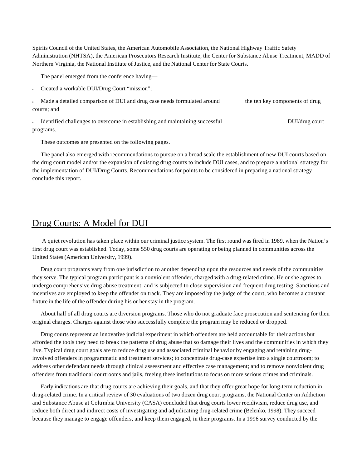Spirits Council of the United States, the American Automobile Association, the National Highway Traffic Safety Administration (NHTSA), the American Prosecutors Research Institute, the Center for Substance Abuse Treatment, MADD of Northern Virginia, the National Institute of Justice, and the National Center for State Courts.

The panel emerged from the conference having—

Created a workable DUI/Drug Court "mission";

| Made a detailed comparison of DUI and drug case needs formulated around | the ten key components of drug |
|-------------------------------------------------------------------------|--------------------------------|
| courts: and                                                             |                                |

Identified challenges to overcome in establishing and maintaining successful DUI/drug court programs.

These outcomes are presented on the following pages.

The panel also emerged with recommendations to pursue on a broad scale the establishment of new DUI courts based on the drug court model and/or the expansion of existing drug courts to include DUI cases, and to prepare a national strategy for the implementation of DUI/Drug Courts. Recommendations for points to be considered in preparing a national strategy conclude this report.

# Drug Courts: A Model for DUI

 A quiet revolution has taken place within our criminal justice system. The first round was fired in 1989, when the Nation's first drug court was established. Today, some 550 drug courts are operating or being planned in communities across the United States (American University, 1999).

Drug court programs vary from one jurisdiction to another depending upon the resources and needs of the communities they serve. The typical program participant is a nonviolent offender, charged with a drug-related crime. He or she agrees to undergo comprehensive drug abuse treatment, and is subjected to close supervision and frequent drug testing. Sanctions and incentives are employed to keep the offender on track. They are imposed by the judge of the court, who becomes a constant fixture in the life of the offender during his or her stay in the program.

About half of all drug courts are diversion programs. Those who do not graduate face prosecution and sentencing for their original charges. Charges against those who successfully complete the program may be reduced or dropped.

Drug courts represent an innovative judicial experiment in which offenders are held accountable for their actions but afforded the tools they need to break the patterns of drug abuse that so damage their lives and the communities in which they live. Typical drug court goals are to reduce drug use and associated criminal behavior by engaging and retaining druginvolved offenders in programmatic and treatment services; to concentrate drug-case expertise into a single courtroom; to address other defendant needs through clinical assessment and effective case management; and to remove nonviolent drug offenders from traditional courtrooms and jails, freeing these institutions to focus on more serious crimes and criminals.

Early indications are that drug courts are achieving their goals, and that they offer great hope for long-term reduction in drug-related crime. In a critical review of 30 evaluations of two dozen drug court programs, the National Center on Addiction and Substance Abuse at Columbia University (CASA) concluded that drug courts lower recidivism, reduce drug use, and reduce both direct and indirect costs of investigating and adjudicating drug-related crime (Belenko, 1998). They succeed because they manage to engage offenders, and keep them engaged, in their programs. In a 1996 survey conducted by the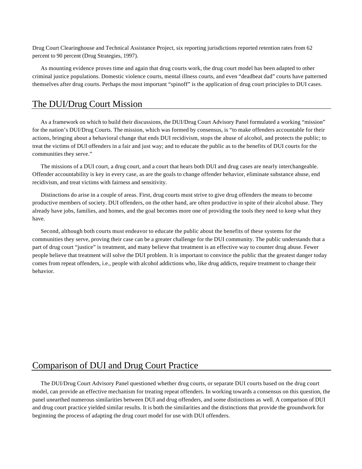Drug Court Clearinghouse and Technical Assistance Project, six reporting jurisdictions reported retention rates from 62 percent to 90 percent (Drug Strategies, 1997).

As mounting evidence proves time and again that drug courts work, the drug court model has been adapted to other criminal justice populations. Domestic violence courts, mental illness courts, and even "deadbeat dad" courts have patterned themselves after drug courts. Perhaps the most important "spinoff" is the application of drug court principles to DUI cases.

## The DUI/Drug Court Mission

As a framework on which to build their discussions, the DUI/Drug Court Advisory Panel formulated a working "mission" for the nation's DUI/Drug Courts. The mission, which was formed by consensus, is "to make offenders accountable for their actions, bringing about a behavioral change that ends DUI recidivism, stops the abuse of alcohol, and protects the public; to treat the victims of DUI offenders in a fair and just way; and to educate the public as to the benefits of DUI courts for the communities they serve."

The missions of a DUI court, a drug court, and a court that hears both DUI and drug cases are nearly interchangeable. Offender accountability is key in every case, as are the goals to change offender behavior, eliminate substance abuse, end recidivism, and treat victims with fairness and sensitivity.

Distinctions do arise in a couple of areas. First, drug courts must strive to give drug offenders the means to become productive members of society. DUI offenders, on the other hand, are often productive in spite of their alcohol abuse. They already have jobs, families, and homes, and the goal becomes more one of providing the tools they need to keep what they have.

Second, although both courts must endeavor to educate the public about the benefits of these systems for the communities they serve, proving their case can be a greater challenge for the DUI community. The public understands that a part of drug court "justice" is treatment, and many believe that treatment is an effective way to counter drug abuse. Fewer people believe that treatment will solve the DUI problem. It is important to convince the public that the greatest danger today comes from repeat offenders, i.e., people with alcohol addictions who, like drug addicts, require treatment to change their behavior.

# Comparison of DUI and Drug Court Practice

The DUI/Drug Court Advisory Panel questioned whether drug courts, or separate DUI courts based on the drug court model, can provide an effective mechanism for treating repeat offenders. In working towards a consensus on this question, the panel unearthed numerous similarities between DUI and drug offenders, and some distinctions as well. A comparison of DUI and drug court practice yielded similar results. It is both the similarities and the distinctions that provide the groundwork for beginning the process of adapting the drug court model for use with DUI offenders.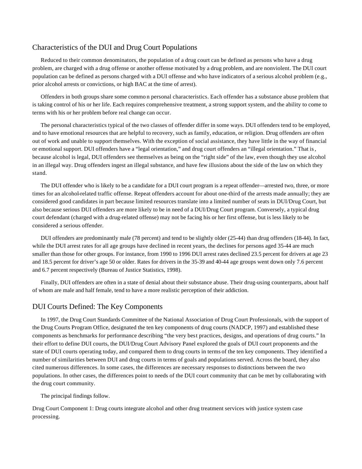## Characteristics of the DUI and Drug Court Populations

Reduced to their common denominators, the population of a drug court can be defined as persons who have a drug problem, are charged with a drug offense or another offense motivated by a drug problem, and are nonviolent. The DUI court population can be defined as persons charged with a DUI offense and who have indicators of a serious alcohol problem (e.g., prior alcohol arrests or convictions, or high BAC at the time of arrest).

Offenders in both groups share some commo n personal characteristics. Each offender has a substance abuse problem that is taking control of his or her life. Each requires comprehensive treatment, a strong support system, and the ability to come to terms with his or her problem before real change can occur.

The personal characteristics typical of the two classes of offender differ in some ways. DUI offenders tend to be employed, and to have emotional resources that are helpful to recovery, such as family, education, or religion. Drug offenders are often out of work and unable to support themselves. With the exception of social assistance, they have little in the way of financial or emotional support. DUI offenders have a "legal orientation," and drug court offenders an "illegal orientation." That is, because alcohol is legal, DUI offenders see themselves as being on the "right side" of the law, even though they use alcohol in an illegal way. Drug offenders ingest an illegal substance, and have few illusions about the side of the law on which they stand.

The DUI offender who is likely to be a candidate for a DUI court program is a repeat offender—arrested two, three, or more times for an alcohol-related traffic offense. Repeat offenders account for about one-third of the arrests made annually; they are considered good candidates in part because limited resources translate into a limited number of seats in DUI/Drug Court, but also because serious DUI offenders are more likely to be in need of a DUI/Drug Court program. Conversely, a typical drug court defendant (charged with a drug-related offense) may not be facing his or her first offense, but is less likely to be considered a serious offender.

DUI offenders are predominantly male (78 percent) and tend to be slightly older (25-44) than drug offenders (18-44). In fact, while the DUI arrest rates for all age groups have declined in recent years, the declines for persons aged 35-44 are much smaller than those for other groups. For instance, from 1990 to 1996 DUI arrest rates declined 23.5 percent for drivers at age 23 and 18.5 percent for driver's age 50 or older. Rates for drivers in the 35-39 and 40-44 age groups went down only 7.6 percent and 6.7 percent respectively (Bureau of Justice Statistics, 1998).

Finally, DUI offenders are often in a state of denial about their substance abuse. Their drug-using counterparts, about half of whom are male and half female, tend to have a more realistic perception of their addiction.

## DUI Courts Defined: The Key Components

In 1997, the Drug Court Standards Committee of the National Association of Drug Court Professionals, with the support of the Drug Courts Program Office, designated the ten key components of drug courts (NADCP, 1997) and established these components as benchmarks for performance describing "the very best practices, designs, and operations of drug courts." In their effort to define DUI courts, the DUI/Drug Court Advisory Panel explored the goals of DUI court proponents and the state of DUI courts operating today, and compared them to drug courts in terms of the ten key components. They identified a number of similarities between DUI and drug courts in terms of goals and populations served. Across the board, they also cited numerous differences. In some cases, the differences are necessary responses to distinctions between the two populations. In other cases, the differences point to needs of the DUI court community that can be met by collaborating with the drug court community.

#### The principal findings follow.

Drug Court Component 1: Drug courts integrate alcohol and other drug treatment services with justice system case processing.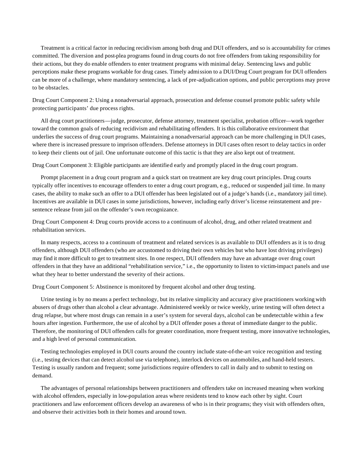Treatment is a critical factor in reducing recidivism among both drug and DUI offenders, and so is accountability for crimes committed. The diversion and post-plea programs found in drug courts do not free offenders from taking responsibility for their actions, but they do enable offenders to enter treatment programs with minimal delay. Sentencing laws and public perceptions make these programs workable for drug cases. Timely admission to a DUI/Drug Court program for DUI offenders can be more of a challenge, where mandatory sentencing, a lack of pre-adjudication options, and public perceptions may prove to be obstacles.

Drug Court Component 2: Using a nonadversarial approach, prosecution and defense counsel promote public safety while protecting participants' due process rights.

All drug court practitioners—judge, prosecutor, defense attorney, treatment specialist, probation officer—work together toward the common goals of reducing recidivism and rehabilitating offenders. It is this collaborative environment that underlies the success of drug court programs. Maintaining a nonadversarial approach can be more challenging in DUI cases, where there is increased pressure to imprison offenders. Defense attorneys in DUI cases often resort to delay tactics in order to keep their clients out of jail. One unfortunate outcome of this tactic is that they are also kept out of treatment.

Drug Court Component 3: Eligible participants are identified early and promptly placed in the drug court program.

Prompt placement in a drug court program and a quick start on treatment are key drug court principles. Drug courts typically offer incentives to encourage offenders to enter a drug court program, e.g., reduced or suspended jail time. In many cases, the ability to make such an offer to a DUI offender has been legislated out of a judge's hands (i.e., mandatory jail time). Incentives are available in DUI cases in some jurisdictions, however, including early driver's license reinstatement and presentence release from jail on the offender's own recognizance.

Drug Court Component 4: Drug courts provide access to a continuum of alcohol, drug, and other related treatment and rehabilitation services.

In many respects, access to a continuum of treatment and related services is as available to DUI offenders as it is to drug offenders, although DUI offenders (who are accustomed to driving their own vehicles but who have lost driving privileges) may find it more difficult to get to treatment sites. In one respect, DUI offenders may have an advantage over drug court offenders in that they have an additional "rehabilitation service," i.e., the opportunity to listen to victim-impact panels and use what they hear to better understand the severity of their actions.

Drug Court Component 5: Abstinence is monitored by frequent alcohol and other drug testing.

Urine testing is by no means a perfect technology, but its relative simplicity and accuracy give practitioners working with abusers of drugs other than alcohol a clear advantage. Administered weekly or twice weekly, urine testing will often detect a drug relapse, but where most drugs can remain in a user's system for several days, alcohol can be undetectable within a few hours after ingestion. Furthermore, the use of alcohol by a DUI offender poses a threat of immediate danger to the public. Therefore, the monitoring of DUI offenders calls for greater coordination, more frequent testing, more innovative technologies, and a high level of personal communication.

Testing technologies employed in DUI courts around the country include state-of-the-art voice recognition and testing (i.e., testing devices that can detect alcohol use via telephone), interlock devices on automobiles, and hand-held testers. Testing is usually random and frequent; some jurisdictions require offenders to call in daily and to submit to testing on demand.

The advantages of personal relationships between practitioners and offenders take on increased meaning when working with alcohol offenders, especially in low-population areas where residents tend to know each other by sight. Court practitioners and law enforcement officers develop an awareness of who is in their programs; they visit with offenders often, and observe their activities both in their homes and around town.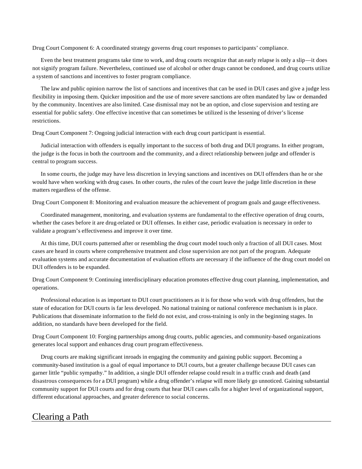Drug Court Component 6: A coordinated strategy governs drug court responses to participants' compliance.

Even the best treatment programs take time to work, and drug courts recognize that an early relapse is only a slip—it does not signify program failure. Nevertheless, continued use of alcohol or other drugs cannot be condoned, and drug courts utilize a system of sanctions and incentives to foster program compliance.

The law and public opinion narrow the list of sanctions and incentives that can be used in DUI cases and give a judge less flexibility in imposing them. Quicker imposition and the use of more severe sanctions are often mandated by law or demanded by the community. Incentives are also limited. Case dismissal may not be an option, and close supervision and testing are essential for public safety. One effective incentive that can sometimes be utilized is the lessening of driver's license restrictions.

Drug Court Component 7: Ongoing judicial interaction with each drug court participant is essential.

Judicial interaction with offenders is equally important to the success of both drug and DUI programs. In either program, the judge is the focus in both the courtroom and the community, and a direct relationship between judge and offender is central to program success.

In some courts, the judge may have less discretion in levying sanctions and incentives on DUI offenders than he or she would have when working with drug cases. In other courts, the rules of the court leave the judge little discretion in these matters regardless of the offense.

Drug Court Component 8: Monitoring and evaluation measure the achievement of program goals and gauge effectiveness.

Coordinated management, monitoring, and evaluation systems are fundamental to the effective operation of drug courts, whether the cases before it are drug-related or DUI offenses. In either case, periodic evaluation is necessary in order to validate a program's effectiveness and improve it over time.

At this time, DUI courts patterned after or resembling the drug court model touch only a fraction of all DUI cases. Most cases are heard in courts where comprehensive treatment and close supervision are not part of the program. Adequate evaluation systems and accurate documentation of evaluation efforts are necessary if the influence of the drug court model on DUI offenders is to be expanded.

Drug Court Component 9: Continuing interdisciplinary education promotes effective drug court planning, implementation, and operations.

Professional education is as important to DUI court practitioners as it is for those who work with drug offenders, but the state of education for DUI courts is far less developed. No national training or national conference mechanism is in place. Publications that disseminate information to the field do not exist, and cross-training is only in the beginning stages. In addition, no standards have been developed for the field.

Drug Court Component 10: Forging partnerships among drug courts, public agencies, and community-based organizations generates local support and enhances drug court program effectiveness.

Drug courts are making significant inroads in engaging the community and gaining public support. Becoming a community-based institution is a goal of equal importance to DUI courts, but a greater challenge because DUI cases can garner little "public sympathy." In addition, a single DUI offender relapse could result in a traffic crash and death (and disastrous consequences for a DUI program) while a drug offender's relapse will more likely go unnoticed. Gaining substantial community support for DUI courts and for drug courts that hear DUI cases calls for a higher level of organizational support, different educational approaches, and greater deference to social concerns.

# Clearing a Path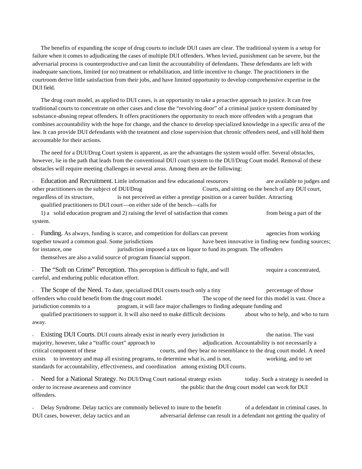The benefits of expanding the scope of drug courts to include DUI cases are clear. The traditional system is a setup for failure when it comes to adjudicating the cases of multiple DUI offenders. When levied, punishment can be severe, but the adversarial process is counterproductive and can limit the accountability of defendants. These defendants are left with inadequate sanctions, limited (or no) treatment or rehabilitation, and little incentive to change. The practitioners in the courtroom derive little satisfaction from their jobs, and have limited opportunity to develop comprehensive expertise in the DUI field.

The drug court model, as applied to DUI cases, is an opportunity to take a proactive approach to justice. It can free traditional courts to concentrate on other cases and close the "revolving door" of a criminal justice system dominated by substance-abusing repeat offenders. It offers practitioners the opportunity to reach more offenders with a program that combines accountability with the hope for change, and the chance to develop specialized knowledge in a specific area of the law. It can provide DUI defendants with the treatment and close supervision that chronic offenders need, and still hold them accountable for their actions.

The need for a DUI/Drug Court system is apparent, as are the advantages the system would offer. Several obstacles, however, lie in the path that leads from the conventional DUI court system to the DUI/Drug Court model. Removal of these obstacles will require meeting challenges in several areas. Among them are the following:

Education and Recruitment. Little information and few educational resources are available to judges and other practitioners on the subject of DUI/Drug Courts, and sitting on the bench of any DUI court, regardless of its structure, is not perceived as either a prestige position or a career builder. Attracting

qualified practitioners to DUI court—on either side of the bench—calls for

1) a solid education program and 2) raising the level of satisfaction that comes from being a part of the system.

Funding. As always, funding is scarce, and competition for dollars can prevent agencies from working together toward a common goal. Some jurisdictions have been innovative in finding new funding sources; for instance, one jurisdiction imposed a tax on liquor to fund its program. The offenders themselves are also a valid source of program financial support.

The "Soft on Crime" Perception. This perception is difficult to fight, and will require a concentrated, careful, and enduring public education effort.

The Scope of the Need. To date, specialized DUI courts touch only a tiny percentage of those offenders who could benefit from the drug court model. The scope of the need for this model is vast. Once a jurisdiction commits to a program, it will face major challenges to finding adequate funding and

qualified practitioners to support it. It will also need to make difficult decisions about who to help, and who to turn away.

<sup>u</sup> Existing DUI Courts. DUI courts already exist in nearly every jurisdiction in the nation. The vast majority, however, take a "traffic court" approach to adjudication. Accountability is not necessarily a critical component of these courts, and they bear no resemblance to the drug court model. A need exists to inventory and map all existing programs, to determine what is, and is not, working, and to set standards for accountability, effectiveness, and coordination among existing DUI courts.

Deed for a National Strategy. No DUI/Drug Court national strategy exists today. Such a strategy is needed in order to increase awareness and convince the public that the drug court model can work for DUI offenders.

<sup>u</sup> Delay Syndrome. Delay tactics are commonly believed to inure to the benefit of a defendant in criminal cases. In DUI cases, however, delay tactics and an adversarial defense can result in a defendant not getting the quality of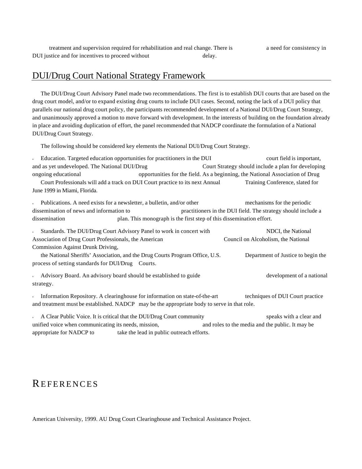treatment and supervision required for rehabilitation and real change. There is a need for consistency in DUI justice and for incentives to proceed without delay.

## DUI/Drug Court National Strategy Framework

The DUI/Drug Court Advisory Panel made two recommendations. The first is to establish DUI courts that are based on the drug court model, and/or to expand existing drug courts to include DUI cases. Second, noting the lack of a DUI policy that parallels our national drug court policy, the participants recommended development of a National DUI/Drug Court Strategy, and unanimously approved a motion to move forward with development. In the interests of building on the foundation already in place and avoiding duplication of effort, the panel recommended that NADCP coordinate the formulation of a National DUI/Drug Court Strategy.

The following should be considered key elements the National DUI/Drug Court Strategy.

<sup>u</sup> Education. Targeted education opportunities for practitioners in the DUI court field is important, and as yet undeveloped. The National DUI/Drug Court Strategy should include a plan for developing ongoing educational opportunities for the field. As a beginning, the National Association of Drug Court Professionals will add a track on DUI Court practice to its next Annual Training Conference, slated for June 1999 in Miami, Florida.

<sup>u</sup> Publications. A need exists for a newsletter, a bulletin, and/or other mechanisms for the periodic dissemination of news and information to practitioners in the DUI field. The strategy should include a dissemination plan. This monograph is the first step of this dissemination effort.

Standards. The DUI/Drug Court Advisory Panel to work in concert with NDCI, the National Association of Drug Court Professionals, the American Council on Alcoholism, the National Commission Against Drunk Driving, the National Sheriffs' Association, and the Drug Courts Program Office, U.S. Department of Justice to begin the process of setting standards for DUI/Drug Courts. Advisory Board. An advisory board should be established to guide development of a national strategy. Information Repository. A clearinghouse for information on state-of-the-art techniques of DUI Court practice and treatment must be established. NADCP may be the appropriate body to serve in that role.

A Clear Public Voice. It is critical that the DUI/Drug Court community speaks with a clear and unified voice when communicating its needs, mission, and roles to the media and the public. It may be appropriate for NADCP to take the lead in public outreach efforts.

# **REFERENCES**

American University, 1999. AU Drug Court Clearinghouse and Technical Assistance Project.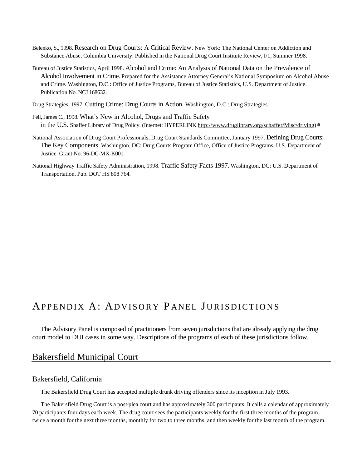- Belenko, S., 1998. Research on Drug Courts: A Critical Review. New York: The National Center on Addiction and Substance Abuse, Columbia University. Published in the National Drug Court Institute Review, I/1, Summer 1998.
- Bureau of Justice Statistics, April 1998. Alcohol and Crime: An Analysis of National Data on the Prevalence of Alcohol Involvement in Crime. Prepared for the Assistance Attorney General's National Symposium on Alcohol Abuse and Crime. Washington, D.C.: Office of Justice Programs, Bureau of Justice Statistics, U.S. Department of Justice. Publication No. NCJ 168632.
- Drug Strategies, 1997. Cutting Crime: Drug Courts in Action. Washington, D.C.: Drug Strategies.
- Fell, James C., 1998. What's New in Alcohol, Drugs and Traffic Safety in the U.S. Shaffer Library of Drug Policy. (Internet: HYPERLINK http://www.druglibrary.org/schaffer/Misc/driving) #
- National Association of Drug Court Professionals, Drug Court Standards Committee, January 1997. Defining Drug Courts: The Key Components. Washington, DC: Drug Courts Program Office, Office of Justice Programs, U.S. Department of Justice. Grant No. 96-DC-MX-K001.
- National Highway Traffic Safety Administration, 1998. Traffic Safety Facts 1997. Washington, DC: U.S. Department of Transportation. Pub. DOT HS 808 764.

# APPENDIX A: ADVISORY P ANEL JURISDICTIONS

The Advisory Panel is composed of practitioners from seven jurisdictions that are already applying the drug court model to DUI cases in some way. Descriptions of the programs of each of these jurisdictions follow.

## Bakersfield Municipal Court

## Bakersfield, California

The Bakersfield Drug Court has accepted multiple drunk driving offenders since its inception in July 1993.

The Bakersfield Drug Court is a post-plea court and has approximately 300 participants. It calls a calendar of approximately 70 participants four days each week. The drug court sees the participants weekly for the first three months of the program, twice a month for the next three months, monthly for two to three months, and then weekly for the last month of the program.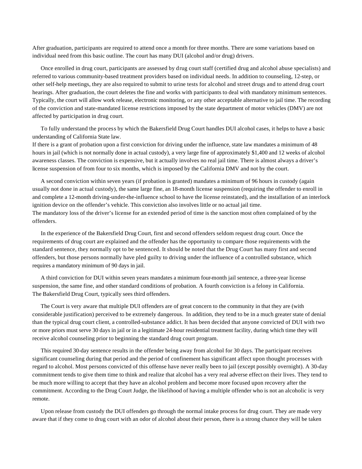After graduation, participants are required to attend once a month for three months. There are some variations based on individual need from this basic outline. The court has many DUI (alcohol and/or drug) drivers.

Once enrolled in drug court, participants are assessed by drug court staff (certified drug and alcohol abuse specialists) and referred to various community-based treatment providers based on individual needs. In addition to counseling, 12-step, or other self-help meetings, they are also required to submit to urine tests for alcohol and street drugs and to attend drug court hearings. After graduation, the court deletes the fine and works with participants to deal with mandatory minimum sentences. Typically, the court will allow work release, electronic monitoring, or any other acceptable alternative to jail time. The recording of the conviction and state-mandated license restrictions imposed by the state department of motor vehicles (DMV) are not affected by participation in drug court.

To fully understand the process by which the Bakersfield Drug Court handles DUI alcohol cases, it helps to have a basic understanding of California State law.

If there is a grant of probation upon a first conviction for driving under the influence, state law mandates a minimum of 48 hours in jail (which is not normally done in actual custody), a very large fine of approximately \$1,400 and 12 weeks of alcohol awareness classes. The conviction is expensive, but it actually involves no real jail time. There is almost always a driver's license suspension of from four to six months, which is imposed by the California DMV and not by the court.

A second conviction within seven years (if probation is granted) mandates a minimum of 96 hours in custody (again usually not done in actual custody), the same large fine, an 18-month license suspension (requiring the offender to enroll in and complete a 12-month driving-under-the-influence school to have the license reinstated), and the installation of an interlock ignition device on the offender's vehicle. This conviction also involves little or no actual jail time. The mandatory loss of the driver's license for an extended period of time is the sanction most often complained of by the offenders.

In the experience of the Bakersfield Drug Court, first and second offenders seldom request drug court. Once the requirements of drug court are explained and the offender has the opportunity to compare those requirements with the standard sentence, they normally opt to be sentenced. It should be noted that the Drug Court has many first and second offenders, but those persons normally have pled guilty to driving under the influence of a controlled substance, which requires a mandatory minimum of 90 days in jail.

A third conviction for DUI within seven years mandates a minimum four-month jail sentence, a three-year license suspension, the same fine, and other standard conditions of probation. A fourth conviction is a felony in California. The Bakersfield Drug Court, typically sees third offenders.

The Court is very aware that multiple DUI offenders are of great concern to the community in that they are (with considerable justification) perceived to be extremely dangerous. In addition, they tend to be in a much greater state of denial than the typical drug court client, a controlled-substance addict. It has been decided that anyone convicted of DUI with two or more priors must serve 30 days in jail or in a legitimate 24-hour residential treatment facility, during which time they will receive alcohol counseling prior to beginning the standard drug court program.

This required 30-day sentence results in the offender being away from alcohol for 30 days. The participant receives significant counseling during that period and the period of confinement has significant affect upon thought processes with regard to alcohol. Most persons convicted of this offense have never really been to jail (except possibly overnight). A 30-day commitment tends to give them time to think and realize that alcohol has a very real adverse effect on their lives. They tend to be much more willing to accept that they have an alcohol problem and become more focused upon recovery after the commitment. According to the Drug Court Judge, the likelihood of having a multiple offender who is not an alcoholic is very remote.

Upon release from custody the DUI offenders go through the normal intake process for drug court. They are made very aware that if they come to drug court with an odor of alcohol about their person, there is a strong chance they will be taken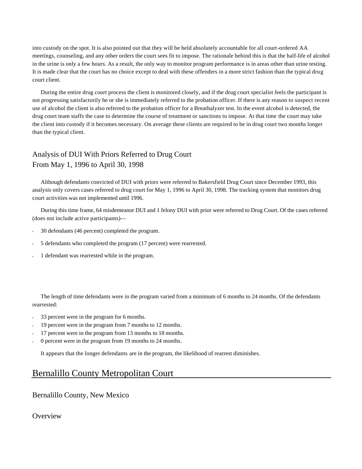into custody on the spot. It is also pointed out that they will be held absolutely accountable for all court-ordered AA meetings, counseling, and any other orders the court sees fit to impose. The rationale behind this is that the half-life of alcohol in the urine is only a few hours. As a result, the only way to monitor program performance is in areas other than urine testing. It is made clear that the court has no choice except to deal with these offenders in a more strict fashion than the typical drug court client.

During the entire drug court process the client is monitored closely, and if the drug court specialist feels the participant is not progressing satisfactorily he or she is immediately referred to the probation officer. If there is any reason to suspect recent use of alcohol the client is also referred to the probation officer for a Breathalyzer test. In the event alcohol is detected, the drug court team staffs the case to determine the course of treatment or sanctions to impose. At that time the court may take the client into custody if it becomes necessary. On average these clients are required to be in drug court two months longer than the typical client.

# Analysis of DUI With Priors Referred to Drug Court From May 1, 1996 to April 30, 1998

Although defendants convicted of DUI with priors were referred to Bakersfield Drug Court since December 1993, this analysis only covers cases referred to drug court for May 1, 1996 to April 30, 1998. The tracking system that monitors drug court activities was not implemented until 1996.

During this time frame, 64 misdemeanor DUI and 1 felony DUI with prior were referred to Drug Court. Of the cases referred (does not include active participants)—

- 30 defendants (46 percent) completed the program.
- 5 defendants who completed the program (17 percent) were rearrested.
- 1 defendant was rearrested while in the program.

The length of time defendants were in the program varied from a minimum of 6 months to 24 months. Of the defendants rearrested:

- 33 percent were in the program for 6 months.
- 19 percent were in the program from 7 months to 12 months.
- 17 percent were in the program from 13 months to 18 months.
- 0 percent were in the program from 19 months to 24 months.

It appears that the longer defendants are in the program, the likelihood of rearrest diminishes.

# Bernalillo County Metropolitan Court

## Bernalillo County, New Mexico

## **Overview**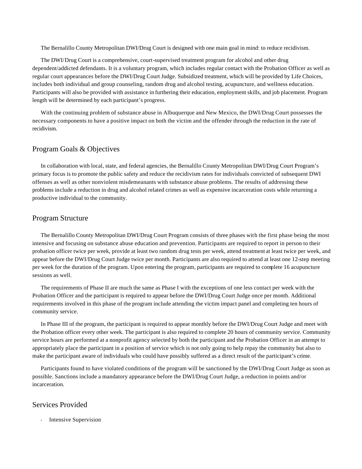The Bernalillo County Metropolitan DWI/Drug Court is designed with one main goal in mind: to reduce recidivism.

The DWI/Drug Court is a comprehensive, court-supervised treatment program for alcohol and other drug dependent/addicted defendants. It is a voluntary program, which includes regular contact with the Probation Officer as well as regular court appearances before the DWI/Drug Court Judge. Subsidized treatment, which will be provided by Life Choices, includes both individual and group counseling, random drug and alcohol testing, acupuncture, and wellness education. Participants will also be provided with assistance in furthering their education, employment skills, and job placement. Program length will be determined by each participant's progress.

With the continuing problem of substance abuse in Albuquerque and New Mexico, the DWI/Drug Court possesses the necessary components to have a positive impact on both the victim and the offender through the reduction in the rate of recidivism.

### Program Goals & Objectives

In collaboration with local, state, and federal agencies, the Bernalillo County Metropolitan DWI/Drug Court Program's primary focus is to promote the public safety and reduce the recidivism rates for individuals convicted of subsequent DWI offenses as well as other nonviolent misdemeanants with substance abuse problems. The results of addressing these problems include a reduction in drug and alcohol related crimes as well as expensive incarceration costs while returning a productive individual to the community.

## Program Structure

The Bernalillo County Metropolitan DWI/Drug Court Program consists of three phases with the first phase being the most intensive and focusing on substance abuse education and prevention. Participants are required to report in person to their probation officer twice per week, provide at least two random drug tests per week, attend treatment at least twice per week, and appear before the DWI/Drug Court Judge twice per month. Participants are also required to attend at least one 12-step meeting per week for the duration of the program. Upon entering the program, participants are required to complete 16 acupuncture sessions as well.

The requirements of Phase II are much the same as Phase I with the exceptions of one less contact per week with the Probation Officer and the participant is required to appear before the DWI/Drug Court Judge once per month. Additional requirements involved in this phase of the program include attending the victim impact panel and completing ten hours of community service.

In Phase III of the program, the participant is required to appear monthly before the DWI/Drug Court Judge and meet with the Probation officer every other week. The participant is also required to complete 20 hours of community service. Community service hours are performed at a nonprofit agency selected by both the participant and the Probation Officer in an attempt to appropriately place the participant in a position of service which is not only going to help repay the community but also to make the participant aware of individuals who could have possibly suffered as a direct result of the participant's crime.

Participants found to have violated conditions of the program will be sanctioned by the DWI/Drug Court Judge as soon as possible. Sanctions include a mandatory appearance before the DWI/Drug Court Judge, a reduction in points and/or incarceration.

## Services Provided

Intensive Supervision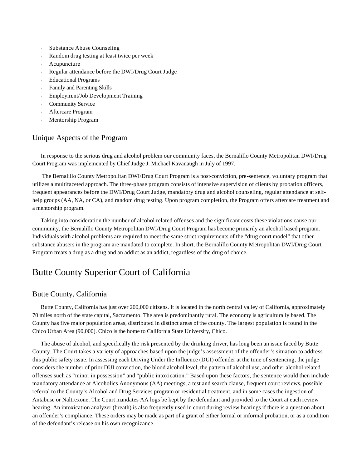- <sup>u</sup> Substance Abuse Counseling
- Random drug testing at least twice per week
- Acupuncture
- Regular attendance before the DWI/Drug Court Judge
- **Educational Programs**
- Family and Parenting Skills
- <sup>u</sup> Employment/Job Development Training
- **Community Service**
- Aftercare Program
- Mentorship Program

## Unique Aspects of the Program

In response to the serious drug and alcohol problem our community faces, the Bernalillo County Metropolitan DWI/Drug Court Program was implemented by Chief Judge J. Michael Kavanaugh in July of 1997.

 The Bernalillo County Metropolitan DWI/Drug Court Program is a post-conviction, pre-sentence, voluntary program that utilizes a multifaceted approach. The three-phase program consists of intensive supervision of clients by probation officers, frequent appearances before the DWI/Drug Court Judge, mandatory drug and alcohol counseling, regular attendance at selfhelp groups (AA, NA, or CA), and random drug testing. Upon program completion, the Program offers aftercare treatment and a mentorship program.

Taking into consideration the number of alcohol-related offenses and the significant costs these violations cause our community, the Bernalillo County Metropolitan DWI/Drug Court Program has become primarily an alcohol based program. Individuals with alcohol problems are required to meet the same strict requirements of the "drug court model" that other substance abusers in the program are mandated to complete. In short, the Bernalillo County Metropolitan DWI/Drug Court Program treats a drug as a drug and an addict as an addict, regardless of the drug of choice.

# Butte County Superior Court of California

## Butte County, California

Butte County, California has just over 200,000 citizens. It is located in the north central valley of California, approximately 70 miles north of the state capital, Sacramento. The area is predominantly rural. The economy is agriculturally based. The County has five major population areas, distributed in distinct areas of the county. The largest population is found in the Chico Urban Area (90,000). Chico is the home to California State University, Chico.

The abuse of alcohol, and specifically the risk presented by the drinking driver, has long been an issue faced by Butte County. The Court takes a variety of approaches based upon the judge's assessment of the offender's situation to address this public safety issue. In assessing each Driving Under the Influence (DUI) offender at the time of sentencing, the judge considers the number of prior DUI conviction, the blood alcohol level, the pattern of alcohol use, and other alcohol-related offenses such as "minor in possession" and "public intoxication." Based upon these factors, the sentence would then include mandatory attendance at Alcoholics Anonymous (AA) meetings, a test and search clause, frequent court reviews, possible referral to the County's Alcohol and Drug Services program or residential treatment, and in some cases the ingestion of Antabuse or Naltrexone. The Court mandates AA logs be kept by the defendant and provided to the Court at each review hearing. An intoxication analyzer (breath) is also frequently used in court during review hearings if there is a question about an offender's compliance. These orders may be made as part of a grant of either formal or informal probation, or as a condition of the defendant's release on his own recognizance.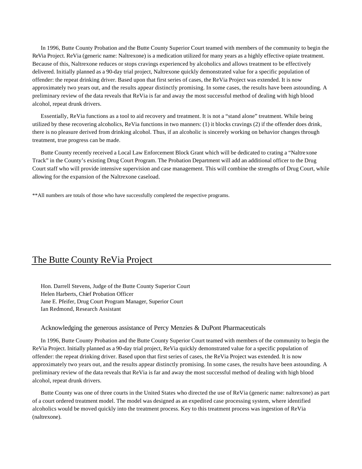In 1996, Butte County Probation and the Butte County Superior Court teamed with members of the community to begin the ReVia Project. ReVia (generic name: Naltrexone) is a medication utilized for many years as a highly effective opiate treatment. Because of this, Naltrexone reduces or stops cravings experienced by alcoholics and allows treatment to be effectively delivered. Initially planned as a 90-day trial project, Naltrexone quickly demonstrated value for a specific population of offender: the repeat drinking driver. Based upon that first series of cases, the ReVia Project was extended. It is now approximately two years out, and the results appear distinctly promising. In some cases, the results have been astounding. A preliminary review of the data reveals that ReVia is far and away the most successful method of dealing with high blood alcohol, repeat drunk drivers.

Essentially, ReVia functions as a tool to aid recovery and treatment. It is not a "stand alone" treatment. While being utilized by these recovering alcoholics, ReVia functions in two manners: (1) it blocks cravings (2) if the offender does drink, there is no pleasure derived from drinking alcohol. Thus, if an alcoholic is sincerely working on behavior changes through treatment, true progress can be made.

Butte County recently received a Local Law Enforcement Block Grant which will be dedicated to crating a "Naltrexone Track" in the County's existing Drug Court Program. The Probation Department will add an additional officer to the Drug Court staff who will provide intensive supervision and case management. This will combine the strengths of Drug Court, while allowing for the expansion of the Naltrexone caseload.

\*\*All numbers are totals of those who have successfully completed the respective programs.

## The Butte County ReVia Project

Hon. Darrell Stevens, Judge of the Butte County Superior Court Helen Harberts, Chief Probation Officer Jane E. Pfeifer, Drug Court Program Manager, Superior Court Ian Redmond, Research Assistant

#### Acknowledging the generous assistance of Percy Menzies & DuPont Pharmaceuticals

In 1996, Butte County Probation and the Butte County Superior Court teamed with members of the community to begin the ReVia Project. Initially planned as a 90-day trial project, ReVia quickly demonstrated value for a specific population of offender: the repeat drinking driver. Based upon that first series of cases, the ReVia Project was extended. It is now approximately two years out, and the results appear distinctly promising. In some cases, the results have been astounding. A preliminary review of the data reveals that ReVia is far and away the most successful method of dealing with high blood alcohol, repeat drunk drivers.

Butte County was one of three courts in the United States who directed the use of ReVia (generic name: naltrexone) as part of a court ordered treatment model. The model was designed as an expedited case processing system, where identified alcoholics would be moved quickly into the treatment process. Key to this treatment process was ingestion of ReVia (naltrexone).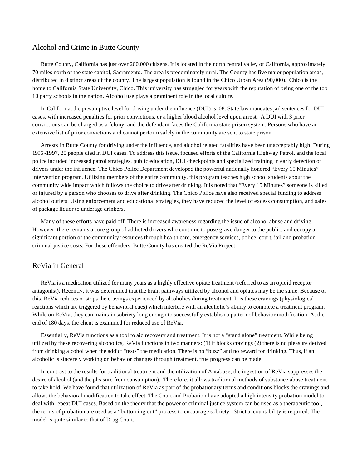## Alcohol and Crime in Butte County

Butte County, California has just over 200,000 citizens. It is located in the north central valley of California, approximately 70 miles north of the state capitol, Sacramento. The area is predominately rural. The County has five major population areas, distributed in distinct areas of the county. The largest population is found in the Chico Urban Area (90,000). Chico is the home to California State University, Chico. This university has struggled for years with the reputation of being one of the top 10 party schools in the nation. Alcohol use plays a prominent role in the local culture.

In California, the presumptive level for driving under the influence (DUI) is .08. State law mandates jail sentences for DUI cases, with increased penalties for prior convictions, or a higher blood alcohol level upon arrest. A DUI with 3 prior convictions can be charged as a felony, and the defendant faces the California state prison system. Persons who have an extensive list of prior convictions and cannot perform safely in the community are sent to state prison.

Arrests in Butte County for driving under the influence, and alcohol related fatalities have been unacceptably high. During 1996 -1997, 25 people died in DUI cases. To address this issue, focused efforts of the California Highway Patrol, and the local police included increased patrol strategies, public education, DUI checkpoints and specialized training in early detection of drivers under the influence. The Chico Police Department developed the powerful nationally honored "Every 15 Minutes" intervention program. Utilizing members of the entire community, this program teaches high school students about the community wide impact which follows the choice to drive after drinking. It is noted that "Every 15 Minutes" someone is killed or injured by a person who chooses to drive after drinking. The Chico Police have also received special funding to address alcohol outlets. Using enforcement and educational strategies, they have reduced the level of excess consumption, and sales of package liquor to underage drinkers.

Many of these efforts have paid off. There is increased awareness regarding the issue of alcohol abuse and driving. However, there remains a core group of addicted drivers who continue to pose grave danger to the public, and occupy a significant portion of the community resources through health care, emergency services, police, court, jail and probation criminal justice costs. For these offenders, Butte County has created the ReVia Project.

### ReVia in General

ReVia is a medication utilized for many years as a highly effective opiate treatment (referred to as an opioid receptor antagonist). Recently, it was determined that the brain pathways utilized by alcohol and opiates may be the same. Because of this, ReVia reduces or stops the cravings experienced by alcoholics during treatment. It is these cravings (physiological reactions which are triggered by behavioral cues) which interfere with an alcoholic's ability to complete a treatment program. While on ReVia, they can maintain sobriety long enough to successfully establish a pattern of behavior modification. At the end of 180 days, the client is examined for reduced use of ReVia.

Essentially, ReVia functions as a tool to aid recovery and treatment. It is not a "stand alone" treatment. While being utilized by these recovering alcoholics, ReVia functions in two manners: (1) it blocks cravings (2) there is no pleasure derived from drinking alcohol when the addict "tests" the medication. There is no "buzz" and no reward for drinking. Thus, if an alcoholic is sincerely working on behavior changes through treatment, true progress can be made.

In contrast to the results for traditional treatment and the utilization of Antabuse, the ingestion of ReVia suppresses the desire of alcohol (and the pleasure from consumption). Therefore, it allows traditional methods of substance abuse treatment to take hold. We have found that utilization of ReVia as part of the probationary terms and conditions blocks the cravings and allows the behavioral modification to take effect. The Court and Probation have adopted a high intensity probation model to deal with repeat DUI cases. Based on the theory that the power of criminal justice system can be used as a therapeutic tool, the terms of probation are used as a "bottoming out" process to encourage sobriety. Strict accountability is required. The model is quite similar to that of Drug Court.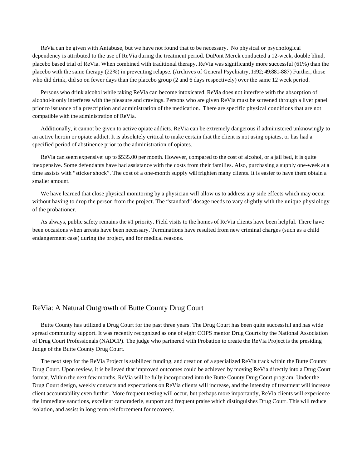ReVia can be given with Antabuse, but we have not found that to be necessary. No physical or psychological dependency is attributed to the use of ReVia during the treatment period. DuPont Merck conducted a 12-week, double blind, placebo based trial of ReVia. When combined with traditional therapy, ReVia was significantly more successful (61%) than the placebo with the same therapy (22%) in preventing relapse. (Archives of General Psychiatry, 1992; 49:881-887) Further, those who did drink, did so on fewer days than the placebo group (2 and 6 days respectively) over the same 12 week period.

Persons who drink alcohol while taking ReVia can become intoxicated. ReVia does not interfere with the absorption of alcohol-it only interferes with the pleasure and cravings. Persons who are given ReVia must be screened through a liver panel prior to issuance of a prescription and administration of the medication. There are specific physical conditions that are not compatible with the administration of ReVia.

Additionally, it cannot be given to active opiate addicts. ReVia can be extremely dangerous if administered unknowingly to an active heroin or opiate addict. It is absolutely critical to make certain that the client is not using opiates, or has had a specified period of abstinence prior to the administration of opiates.

ReVia can seem expensive: up to \$535.00 per month. However, compared to the cost of alcohol, or a jail bed, it is quite inexpensive. Some defendants have had assistance with the costs from their families. Also, purchasing a supply one-week at a time assists with "sticker shock". The cost of a one-month supply will frighten many clients. It is easier to have them obtain a smaller amount.

We have learned that close physical monitoring by a physician will allow us to address any side effects which may occur without having to drop the person from the project. The "standard" dosage needs to vary slightly with the unique physiology of the probationer.

As always, public safety remains the #1 priority. Field visits to the homes of ReVia clients have been helpful. There have been occasions when arrests have been necessary. Terminations have resulted from new criminal charges (such as a child endangerment case) during the project, and for medical reasons.

#### ReVia: A Natural Outgrowth of Butte County Drug Court

Butte County has utilized a Drug Court for the past three years. The Drug Court has been quite successful and has wide spread community support. It was recently recognized as one of eight COPS mentor Drug Courts by the National Association of Drug Court Professionals (NADCP). The judge who partnered with Probation to create the ReVia Project is the presiding Judge of the Butte County Drug Court.

The next step for the ReVia Project is stabilized funding, and creation of a specialized ReVia track within the Butte County Drug Court. Upon review, it is believed that improved outcomes could be achieved by moving ReVia directly into a Drug Court format. Within the next few months, ReVia will be fully incorporated into the Butte County Drug Court program. Under the Drug Court design, weekly contacts and expectations on ReVia clients will increase, and the intensity of treatment will increase client accountability even further. More frequent testing will occur, but perhaps more importantly, ReVia clients will experience the immediate sanctions, excellent camaraderie, support and frequent praise which distinguishes Drug Court. This will reduce isolation, and assist in long term reinforcement for recovery.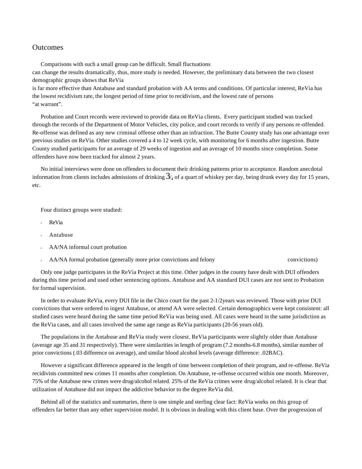### **Outcomes**

Comparisons with such a small group can be difficult. Small fluctuations can change the results dramatically, thus, more study is needed. However, the preliminary data between the two closest demographic groups shows that ReVia

is far more effective than Antabuse and standard probation with AA terms and conditions. Of particular interest, ReVia has the lowest recidivism rate, the longest period of time prior to recidivism, and the lowest rate of persons "at warrant".

Probation and Court records were reviewed to provide data on ReVia clients. Every participant studied was tracked through the records of the Department of Motor Vehicles, city police, and court records to verify if any persons re-offended. Re-offense was defined as any new criminal offense other than an infraction. The Butte County study has one advantage over previous studies on ReVia. Other studies covered a 4 to 12 week cycle, with monitoring for 6 months after ingestion. Butte County studied participants for an average of 29 weeks of ingestion and an average of 10 months since completion. Some offenders have now been tracked for almost 2 years.

No initial interviews were done on offenders to document their drinking patterns prior to acceptance. Random anecdotal information from clients includes admissions of drinking  $3/4$  of a quart of whiskey per day, being drunk every day for 15 years, etc.

Four distinct groups were studied:

- ReVia
- Antabuse
- AA/NA informal court probation
- AA/NA formal probation (generally more prior convictions and felony convictions) convictions)

Only one judge participates in the ReVia Project at this time. Other judges in the county have dealt with DUI offenders during this time period and used other sentencing options. Antabuse and AA standard DUI cases are not sent to Probation for formal supervision.

In order to evaluate ReVia, every DUI file in the Chico court for the past 2-1/2years was reviewed. Those with prior DUI convictions that were ordered to ingest Antabuse, or attend AA were selected. Certain demographics were kept consistent: all studied cases were heard during the same time period ReVia was being used. All cases were heard in the same jurisdiction as the ReVia cases, and all cases involved the same age range as ReVia participants (20-56 years old).

The populations in the Antabuse and ReVia study were closest. ReVia participants were slightly older than Antabuse (average age 35 and 31 respectively). There were similarities in length of program (7.2 months-6.8 months), similar number of prior convictions (.03 difference on average), and similar blood alcohol levels (average difference: .02BAC).

However a significant difference appeared in the length of time between completion of their program, and re-offense. ReVia recidivists committed new crimes 11 months after completion. On Antabuse, re-offense occurred within one month. Moreover, 75% of the Antabuse new crimes were drug/alcohol related. 25% of the ReVia crimes were drug/alcohol related. It is clear that utilization of Antabuse did not impact the addictive behavior to the degree ReVia did.

Behind all of the statistics and summaries, there is one simple and sterling clear fact: ReVia works on this group of offenders far better than any other supervision model. It is obvious in dealing with this client base. Over the progression of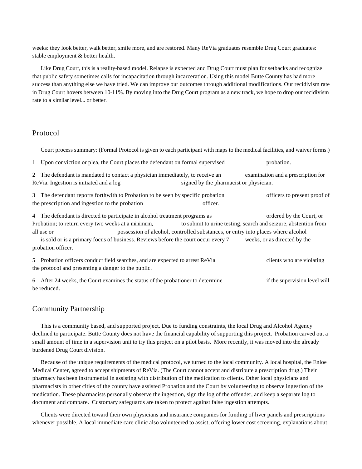weeks: they look better, walk better, smile more, and are restored. Many ReVia graduates resemble Drug Court graduates: stable employment & better health.

Like Drug Court, this is a reality-based model. Relapse is expected and Drug Court must plan for setbacks and recognize that public safety sometimes calls for incapacitation through incarceration. Using this model Butte County has had more success than anything else we have tried. We can improve our outcomes through additional modifications. Our recidivism rate in Drug Court hovers between 10-11%. By moving into the Drug Court program as a new track, we hope to drop our recidivism rate to a similar level... or better.

## Protocol

| Court process summary: (Formal Protocol is given to each participant with maps to the medical facilities, and waiver forms.)                                       |                                                                 |
|--------------------------------------------------------------------------------------------------------------------------------------------------------------------|-----------------------------------------------------------------|
| 1 Upon conviction or plea, the Court places the defendant on formal supervised                                                                                     | probation.                                                      |
| 2 The defendant is mandated to contact a physician immediately, to receive an<br>ReVia. Ingestion is initiated and a log<br>signed by the pharmacist or physician. | examination and a prescription for                              |
| 3 The defendant reports forthwith to Probation to be seen by specific probation<br>the prescription and ingestion to the probation<br>officer.                     | officers to present proof of                                    |
| 4 The defendant is directed to participate in alcohol treatment programs as                                                                                        | ordered by the Court, or                                        |
| Probation; to return every two weeks at a minimum,                                                                                                                 | to submit to urine testing, search and seizure, abstention from |
| possession of alcohol, controlled substances, or entry into places where alcohol<br>all use or                                                                     |                                                                 |
| is sold or is a primary focus of business. Reviews before the court occur every 7<br>probation officer.                                                            | weeks, or as directed by the                                    |
| 5 Probation officers conduct field searches, and are expected to arrest ReVia<br>the protocol and presenting a danger to the public.                               | clients who are violating                                       |
| 6 After 24 weeks, the Court examines the status of the probationer to determine<br>be reduced.                                                                     | if the supervision level will                                   |

## Community Partnership

This is a community based, and supported project. Due to funding constraints, the local Drug and Alcohol Agency declined to participate. Butte County does not have the financial capability of supporting this project. Probation carved out a small amount of time in a supervision unit to try this project on a pilot basis. More recently, it was moved into the already burdened Drug Court division.

Because of the unique requirements of the medical protocol, we turned to the local community. A local hospital, the Enloe Medical Center, agreed to accept shipments of ReVia. (The Court cannot accept and distribute a prescription drug.) Their pharmacy has been instrumental in assisting with distribution of the medication to clients. Other local physicians and pharmacists in other cities of the county have assisted Probation and the Court by volunteering to observe ingestion of the medication. These pharmacists personally observe the ingestion, sign the log of the offender, and keep a separate log to document and compare. Customary safeguards are taken to protect against false ingestion attempts.

Clients were directed toward their own physicians and insurance companies for funding of liver panels and prescriptions whenever possible. A local immediate care clinic also volunteered to assist, offering lower cost screening, explanations about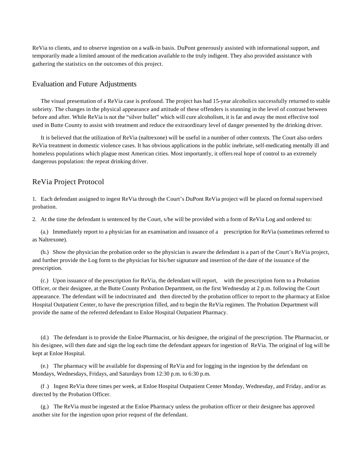ReVia to clients, and to observe ingestion on a walk-in basis. DuPont generously assisted with informational support, and temporarily made a limited amount of the medication available to the truly indigent. They also provided assistance with gathering the statistics on the outcomes of this project.

## Evaluation and Future Adjustments

The visual presentation of a ReVia case is profound. The project has had 15-year alcoholics successfully returned to stable sobriety. The changes in the physical appearance and attitude of these offenders is stunning in the level of contrast between before and after. While ReVia is not the "silver bullet" which will cure alcoholism, it is far and away the most effective tool used in Butte County to assist with treatment and reduce the extraordinary level of danger presented by the drinking driver.

It is believed that the utilization of ReVia (naltrexone) will be useful in a number of other contexts. The Court also orders ReVia treatment in domestic violence cases. It has obvious applications in the public inebriate, self-medicating mentally ill and homeless populations which plague most American cities. Most importantly, it offers real hope of control to an extremely dangerous population: the repeat drinking driver.

## ReVia Project Protocol

1. Each defendant assigned to ingest ReVia through the Court's DuPont ReVia project will be placed on formal supervised probation.

2. At the time the defendant is sentenced by the Court, s/he will be provided with a form of ReVia Log and ordered to:

(a.) Immediately report to a physician for an examination and issuance of a prescription for ReVia (sometimes referred to as Naltrexone).

(b.) Show the physician the probation order so the physician is aware the defendant is a part of the Court's ReVia project, and further provide the Log form to the physician for his/her signature and insertion of the date of the issuance of the prescription.

(c.) Upon issuance of the prescription for ReVia, the defendant will report, with the prescription form to a Probation Officer, or their designee, at the Butte County Probation Department, on the first Wednesday at 2 p.m. following the Court appearance. The defendant will be indoctrinated and then directed by the probation officer to report to the pharmacy at Enloe Hospital Outpatient Center, to have the prescription filled, and to begin the ReVia regimen. The Probation Department will provide the name of the referred defendant to Enloe Hospital Outpatient Pharmacy.

(d.) The defendant is to provide the Enloe Pharmacist, or his designee, the original of the prescription. The Pharmacist, or his designee, will then date and sign the log each time the defendant appears for ingestion of ReVia. The original of log will be kept at Enloe Hospital.

(e.) The pharmacy will be available for dispensing of ReVia and for logging in the ingestion by the defendant on Mondays, Wednesdays, Fridays, and Saturdays from 12:30 p.m. to 6:30 p.m.

(f .) Ingest ReVia three times per week, at Enloe Hospital Outpatient Center Monday, Wednesday, and Friday, and/or as directed by the Probation Officer.

(g.) The ReVia must be ingested at the Enloe Pharmacy unless the probation officer or their designee has approved another site for the ingestion upon prior request of the defendant.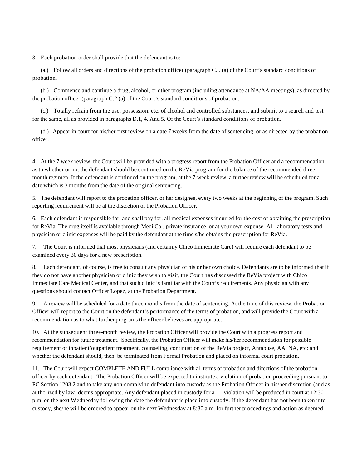3. Each probation order shall provide that the defendant is to:

(a.) Follow all orders and directions of the probation officer (paragraph C.l. (a) of the Court's standard conditions of probation.

(b.) Commence and continue a drug, alcohol, or other program (including attendance at NA/AA meetings), as directed by the probation officer (paragraph C.2 (a) of the Court's standard conditions of probation.

(c.) Totally refrain from the use, possession, etc. of alcohol and controlled substances, and submit to a search and test for the same, all as provided in paragraphs D.1, 4. And 5. Of the Court's standard conditions of probation.

(d.) Appear in court for his/her first review on a date 7 weeks from the date of sentencing, or as directed by the probation officer.

4. At the 7 week review, the Court will be provided with a progress report from the Probation Officer and a recommendation as to whether or not the defendant should be continued on the ReVia program for the balance of the recommended three month regimen. If the defendant is continued on the program, at the 7-week review, a further review will be scheduled for a date which is 3 months from the date of the original sentencing.

5. The defendant will report to the probation officer, or her designee, every two weeks at the beginning of the program. Such reporting requirement will be at the discretion of the Probation Officer.

6. Each defendant is responsible for, and shall pay for, all medical expenses incurred for the cost of obtaining the prescription for ReVia. The drug itself is available through Medi-Cal, private insurance, or at your own expense. All laboratory tests and physician or clinic expenses will be paid by the defendant at the time s/he obtains the prescription for ReVia.

7. The Court is informed that most physicians (and certainly Chico Immediate Care) will require each defendant to be examined every 30 days for a new prescription.

8. Each defendant, of course, is free to consult any physician of his or her own choice. Defendants are to be informed that if they do not have another physician or clinic they wish to visit, the Court has discussed the ReVia project with Chico Immediate Care Medical Center, and that such clinic is familiar with the Court's requirements. Any physician with any questions should contact Officer Lopez, at the Probation Department.

9. A review will be scheduled for a date three months from the date of sentencing. At the time of this review, the Probation Officer will report to the Court on the defendant's performance of the terms of probation, and will provide the Court with a recommendation as to what further programs the officer believes are appropriate.

10. At the subsequent three-month review, the Probation Officer will provide the Court with a progress report and recommendation for future treatment. Specifically, the Probation Officer will make his/her recommendation for possible requirement of inpatient/outpatient treatment, counseling, continuation of the ReVia project, Antabuse, AA, NA, etc: and whether the defendant should, then, be terminated from Formal Probation and placed on informal court probation.

11. The Court will expect COMPLETE AND FULL compliance with all terms of probation and directions of the probation officer by each defendant. The Probation Officer will be expected to institute a violation of probation proceeding pursuant to PC Section 1203.2 and to take any non-complying defendant into custody as the Probation Officer in his/her discretion (and as authorized by law) deems appropriate. Any defendant placed in custody for a violation will be produced in court at 12:30 p.m. on the next Wednesday following the date the defendant is place into custody. If the defendant has not been taken into custody, she/he will be ordered to appear on the next Wednesday at 8:30 a.m. for further proceedings and action as deemed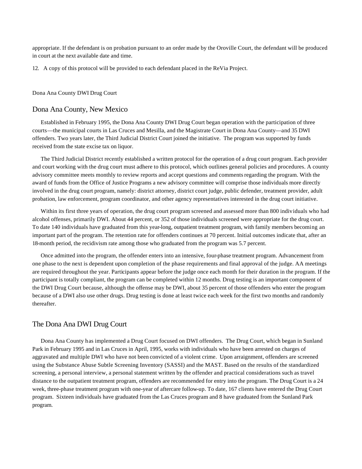appropriate. If the defendant is on probation pursuant to an order made by the Oroville Court, the defendant will be produced in court at the next available date and time.

12. A copy of this protocol will be provided to each defendant placed in the ReVia Project.

#### Dona Ana County DWI Drug Court

#### Dona Ana County, New Mexico

Established in February 1995, the Dona Ana County DWI Drug Court began operation with the participation of three courts—the municipal courts in Las Cruces and Mesilla, and the Magistrate Court in Dona Ana County—and 35 DWI offenders. Two years later, the Third Judicial District Court joined the initiative. The program was supported by funds received from the state excise tax on liquor.

The Third Judicial District recently established a written protocol for the operation of a drug court program. Each provider and court working with the drug court must adhere to this protocol, which outlines general policies and procedures. A county advisory committee meets monthly to review reports and accept questions and comments regarding the program. With the award of funds from the Office of Justice Programs a new advisory committee will comprise those individuals more directly involved in the drug court program, namely: district attorney, district court judge, public defender, treatment provider, adult probation, law enforcement, program coordinator, and other agency representatives interested in the drug court initiative.

Within its first three years of operation, the drug court program screened and assessed more than 800 individuals who had alcohol offenses, primarily DWI. About 44 percent, or 352 of those individuals screened were appropriate for the drug court. To date 140 individuals have graduated from this year-long, outpatient treatment program, with family members becoming an important part of the program. The retention rate for offenders continues at 70 percent. Initial outcomes indicate that, after an 18-month period, the recidivism rate among those who graduated from the program was 5.7 percent.

Once admitted into the program, the offender enters into an intensive, four-phase treatment program. Advancement from one phase to the next is dependent upon completion of the phase requirements and final approval of the judge. AA meetings are required throughout the year. Participants appear before the judge once each month for their duration in the program. If the participant is totally compliant, the program can be completed within 12 months. Drug testing is an important component of the DWI Drug Court because, although the offense may be DWI, about 35 percent of those offenders who enter the program because of a DWI also use other drugs. Drug testing is done at least twice each week for the first two months and randomly thereafter.

### The Dona Ana DWI Drug Court

Dona Ana County has implemented a Drug Court focused on DWI offenders. The Drug Court, which began in Sunland Park in February 1995 and in Las Cruces in April, 1995, works with individuals who have been arrested on charges of aggravated and multiple DWI who have not been convicted of a violent crime. Upon arraignment, offenders are screened using the Substance Abuse Subtle Screening Inventory (SASSI) and the MAST. Based on the results of the standardized screening, a personal interview, a personal statement written by the offender and practical considerations such as travel distance to the outpatient treatment program, offenders are recommended for entry into the program. The Drug Court is a 24 week, three-phase treatment program with one-year of aftercare follow-up. To date, 167 clients have entered the Drug Court program. Sixteen individuals have graduated from the Las Cruces program and 8 have graduated from the Sunland Park program.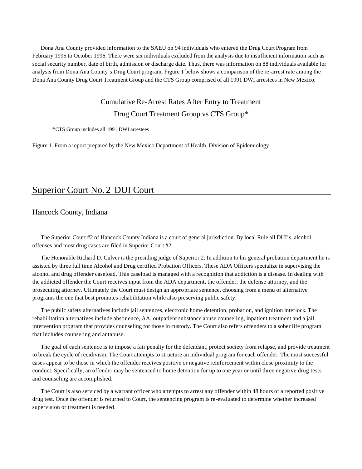Dona Ana County provided information to the SAEU on 94 individuals who entered the Drug Court Program from February 1995 to October 1996. There were six individuals excluded from the analysis due to insufficient information such as social security number, date of birth, admission or discharge date. Thus, there was information on 88 individuals available for analysis from Dona Ana County's Drug Court program. Figure 1 below shows a comparison of the re-arrest rate among the Dona Ana County Drug Court Treatment Group and the CTS Group comprised of all 1991 DWI arrestees in New Mexico.

## Cumulative Re-Arrest Rates After Entry to Treatment

Drug Court Treatment Group vs CTS Group\*

\*CTS Group includes all 1991 DWI arrestees

Figure 1. From a report prepared by the New Mexico Department of Health, Division of Epidemiology

# Superior Court No. 2 DUI Court

Hancock County, Indiana

The Superior Court #2 of Hancock County Indiana is a court of general jurisdiction. By local Rule all DUI's, alcohol offenses and most drug cases are filed in Superior Court #2.

The Honorable Richard D. Culver is the presiding judge of Superior 2. In addition to his general probation department he is assisted by three full time Alcohol and Drug certified Probation Officers. These ADA Officers specialize in supervising the alcohol and drug offender caseload. This caseload is managed with a recognition that addiction is a disease. In dealing with the addicted offender the Court receives input from the ADA department, the offender, the defense attorney, and the prosecuting attorney. Ultimately the Court must design an appropriate sentence, choosing from a menu of alternative programs the one that best promotes rehabilitation while also preserving public safety.

The public safety alternatives include jail sentences, electronic home detention, probation, and ignition interlock. The rehabilitation alternatives include abstinence, AA, outpatient substance abuse counseling, inpatient treatment and a jail intervention program that provides counseling for those in custody. The Court also refers offenders to a sober life program that includes counseling and antabuse.

The goal of each sentence is to impose a fair penalty for the defendant, protect society from relapse, and provide treatment to break the cycle of recidivism. The Court attempts to structure an individual program for each offender. The most successful cases appear to be those in which the offender receives positive or negative reinforcement within close proximity to the conduct. Specifically, an offender may be sentenced to home detention for up to one year or until three negative drug tests and counseling are accomplished.

The Court is also serviced by a warrant officer who attempts to arrest any offender within 48 hours of a reported positive drug test. Once the offender is returned to Court, the sentencing program is re-evaluated to determine whether increased supervision or treatment is needed.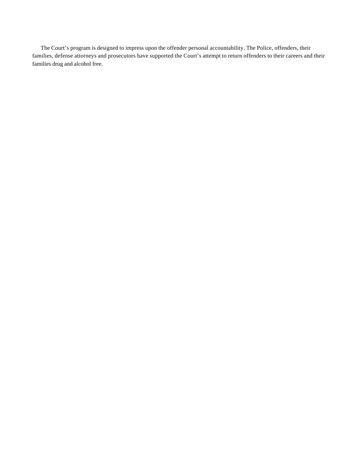The Court's program is designed to impress upon the offender personal accountability. The Police, offenders, their families, defense attorneys and prosecutors have supported the Court's attempt to return offenders to their careers and their families drug and alcohol free.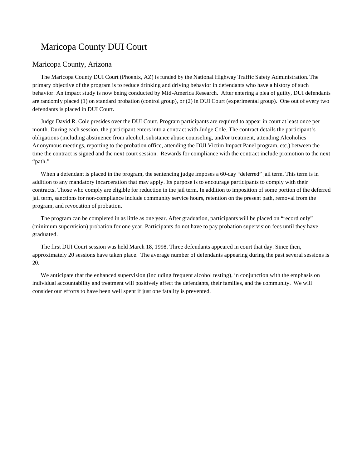# Maricopa County DUI Court

### Maricopa County, Arizona

The Maricopa County DUI Court (Phoenix, AZ) is funded by the National Highway Traffic Safety Administration. The primary objective of the program is to reduce drinking and driving behavior in defendants who have a history of such behavior. An impact study is now being conducted by Mid-America Research. After entering a plea of guilty, DUI defendants are randomly placed (1) on standard probation (control group), or (2) in DUI Court (experimental group). One out of every two defendants is placed in DUI Court.

Judge David R. Cole presides over the DUI Court. Program participants are required to appear in court at least once per month. During each session, the participant enters into a contract with Judge Cole. The contract details the participant's obligations (including abstinence from alcohol, substance abuse counseling, and/or treatment, attending Alcoholics Anonymous meetings, reporting to the probation office, attending the DUI Victim Impact Panel program, etc.) between the time the contract is signed and the next court session. Rewards for compliance with the contract include promotion to the next "path."

When a defendant is placed in the program, the sentencing judge imposes a 60-day "deferred" jail term. This term is in addition to any mandatory incarceration that may apply. Its purpose is to encourage participants to comply with their contracts. Those who comply are eligible for reduction in the jail term. In addition to imposition of some portion of the deferred jail term, sanctions for non-compliance include community service hours, retention on the present path, removal from the program, and revocation of probation.

The program can be completed in as little as one year. After graduation, participants will be placed on "record only" (minimum supervision) probation for one year. Participants do not have to pay probation supervision fees until they have graduated.

The first DUI Court session was held March 18, 1998. Three defendants appeared in court that day. Since then, approximately 20 sessions have taken place. The average number of defendants appearing during the past several sessions is 20.

We anticipate that the enhanced supervision (including frequent alcohol testing), in conjunction with the emphasis on individual accountability and treatment will positively affect the defendants, their families, and the community. We will consider our efforts to have been well spent if just one fatality is prevented.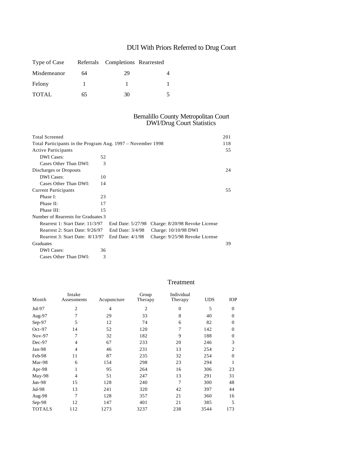# DUI With Priors Referred to Drug Court

| Type of Case |    | Referrals Completions Rearrested |  |
|--------------|----|----------------------------------|--|
| Misdemeanor  | 64 | 29                               |  |
| Felony       |    |                                  |  |
| <b>TOTAL</b> | 65 | 30                               |  |

#### Bernalillo County Metropolitan Court DWI/Drug Court Statistics

| <b>Total Screened</b>                                       |    |                    |                                | 201 |
|-------------------------------------------------------------|----|--------------------|--------------------------------|-----|
| Total Participants in the Program Aug. 1997 – November 1998 |    |                    |                                | 118 |
| <b>Active Participants</b>                                  |    |                    |                                | 55  |
| <b>DWI</b> Cases:                                           | 52 |                    |                                |     |
| Cases Other Than DWI:                                       | 3  |                    |                                |     |
| Discharges or Dropouts                                      |    |                    |                                | 24  |
| <b>DWI</b> Cases:                                           | 10 |                    |                                |     |
| Cases Other Than DWI:                                       | 14 |                    |                                |     |
| <b>Current Participants</b>                                 |    |                    |                                | 55  |
| Phase I:                                                    | 23 |                    |                                |     |
| Phase II:                                                   | 17 |                    |                                |     |
| Phase III:                                                  | 15 |                    |                                |     |
| Number of Rearrests for Graduates 3                         |    |                    |                                |     |
| Rearrest 1: Start Date: 11/3/97                             |    | End Date: 5/27/98  | Charge: 8/20/98 Revoke License |     |
| Rearrest 2: Start Date: 9/26/97                             |    | End Date: 3/4/98   | Charge: 10/10/98 DWI           |     |
| Rearrest 3: Start Date: 8/13/97                             |    | End Date: $4/1/98$ | Charge: 9/25/98 Revoke License |     |
| Graduates                                                   |    |                    |                                | 39  |
| <b>DWI</b> Cases:                                           | 36 |                    |                                |     |
| Cases Other Than DWI:                                       | 3  |                    |                                |     |

### Treatment

| Month         | Intake<br>Assessments | Acupuncture    | Group<br>Therapy | Individual<br>Therapy | <b>UDS</b> | <b>IOP</b>       |
|---------------|-----------------------|----------------|------------------|-----------------------|------------|------------------|
| Jul-97        | $\overline{2}$        | $\overline{4}$ | $\overline{c}$   | $\Omega$              | 5          | $\overline{0}$   |
| Aug-97        | 7                     | 29             | 33               | 8                     | 40         | $\overline{0}$   |
| $Sep-97$      | 5                     | 12             | 74               | 6                     | 82         | $\overline{0}$   |
| $Oct-97$      | 14                    | 52             | 120              | 7                     | 142        | $\overline{0}$   |
| Nov-97        | $\overline{7}$        | 32             | 182              | 9                     | 188        | $\boldsymbol{0}$ |
| Dec-97        | $\overline{4}$        | 67             | 233              | 20                    | 246        | 3                |
| Jan-98        | 4                     | 46             | 231              | 13                    | 254        | 2                |
| Feb-98        | 11                    | 87             | 235              | 32                    | 254        | $\overline{0}$   |
| Mar-98        | 6                     | 154            | 298              | 23                    | 294        | 1                |
| Apr-98        | 1                     | 95             | 264              | 16                    | 306        | 23               |
| May-98        | $\overline{4}$        | 51             | 247              | 13                    | 291        | 31               |
| $Jun-98$      | 15                    | 128            | 240              | 7                     | 300        | 48               |
| Jul-98        | 13                    | 241            | 320              | 42                    | 397        | 44               |
| Aug-98        | $\overline{7}$        | 128            | 357              | 21                    | 360        | 16               |
| Sep-98        | 12                    | 147            | 401              | 21                    | 385        | 5                |
| <b>TOTALS</b> | 112                   | 1273           | 3237             | 238                   | 3544       | 173              |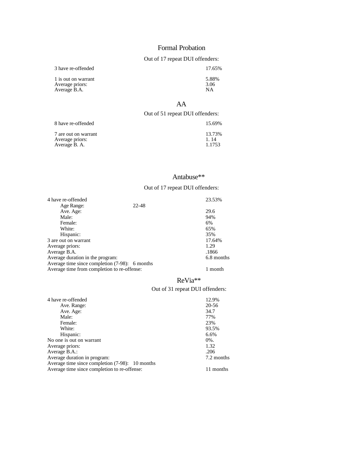### Formal Probation

## Out of 17 repeat DUI offenders:

3 have re-offended 17.65%

1 is out on warrant 5.88%<br>Average priors: 3.06<br>Average B.A. NA Average priors:  $3.06$ Average B.A. NA

## AA

### Out of 51 repeat DUI offenders:

| 8 have re-offended   | 15.69% |
|----------------------|--------|
| 7 are out on warrant | 13.73% |
| Average priors:      | 1.14   |
| Average B. A.        | 1.1753 |

## Antabuse\*\*

### Out of 17 repeat DUI offenders:

| 4 have re-offended                             | 23.53%     |
|------------------------------------------------|------------|
| 22-48<br>Age Range:                            |            |
| Ave. Age:                                      | 29.6       |
| Male:                                          | 94%        |
| Female:                                        | 6%         |
| White:                                         | 65%        |
| Hispanic:                                      | 35%        |
| 3 are out on warrant                           | 17.64%     |
| Average priors:                                | 1.29       |
| Average B.A.                                   | .1866      |
| Average duration in the program:               | 6.8 months |
| Average time since completion (7-98): 6 months |            |
| Average time from completion to re-offense:    | 1 month    |
|                                                |            |

## ReVia\*\*

## Out of 31 repeat DUI offenders:

| 4 have re-offended                              | 12.9%      |
|-------------------------------------------------|------------|
| Ave. Range:                                     | 20-56      |
| Ave. Age:                                       | 34.7       |
| Male:                                           | 77%        |
| Female:                                         | 23%        |
| White:                                          | 93.5%      |
| Hispanic:                                       | 6.6%       |
| No one is out on warrant                        | $0\%$ .    |
| Average priors:                                 | 1.32       |
| Average B.A.:                                   | .206       |
| Average duration in program:                    | 7.2 months |
| Average time since completion (7-98): 10 months |            |
| Average time since completion to re-offense:    | 11 months  |
|                                                 |            |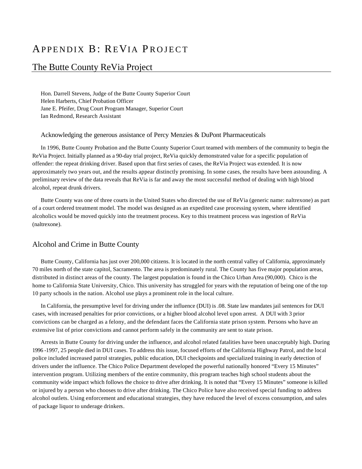# APPENDIX B: REVIA PROJECT

# The Butte County ReVia Project

Hon. Darrell Stevens, Judge of the Butte County Superior Court Helen Harberts, Chief Probation Officer Jane E. Pfeifer, Drug Court Program Manager, Superior Court Ian Redmond, Research Assistant

#### Acknowledging the generous assistance of Percy Menzies & DuPont Pharmaceuticals

In 1996, Butte County Probation and the Butte County Superior Court teamed with members of the community to begin the ReVia Project. Initially planned as a 90-day trial project, ReVia quickly demonstrated value for a specific population of offender: the repeat drinking driver. Based upon that first series of cases, the ReVia Project was extended. It is now approximately two years out, and the results appear distinctly promising. In some cases, the results have been astounding. A preliminary review of the data reveals that ReVia is far and away the most successful method of dealing with high blood alcohol, repeat drunk drivers.

Butte County was one of three courts in the United States who directed the use of ReVia (generic name: naltrexone) as part of a court ordered treatment model. The model was designed as an expedited case processing system, where identified alcoholics would be moved quickly into the treatment process. Key to this treatment process was ingestion of ReVia (naltrexone).

## Alcohol and Crime in Butte County

Butte County, California has just over 200,000 citizens. It is located in the north central valley of California, approximately 70 miles north of the state capitol, Sacramento. The area is predominately rural. The County has five major population areas, distributed in distinct areas of the county. The largest population is found in the Chico Urban Area (90,000). Chico is the home to California State University, Chico. This university has struggled for years with the reputation of being one of the top 10 party schools in the nation. Alcohol use plays a prominent role in the local culture.

In California, the presumptive level for driving under the influence (DUI) is .08. State law mandates jail sentences for DUI cases, with increased penalties for prior convictions, or a higher blood alcohol level upon arrest. A DUI with 3 prior convictions can be charged as a felony, and the defendant faces the California state prison system. Persons who have an extensive list of prior convictions and cannot perform safely in the community are sent to state prison.

Arrests in Butte County for driving under the influence, and alcohol related fatalities have been unacceptably high. During 1996 -1997, 25 people died in DUI cases. To address this issue, focused efforts of the California Highway Patrol, and the local police included increased patrol strategies, public education, DUI checkpoints and specialized training in early detection of drivers under the influence. The Chico Police Department developed the powerful nationally honored "Every 15 Minutes" intervention program. Utilizing members of the entire community, this program teaches high school students about the community wide impact which follows the choice to drive after drinking. It is noted that "Every 15 Minutes" someone is killed or injured by a person who chooses to drive after drinking. The Chico Police have also received special funding to address alcohol outlets. Using enforcement and educational strategies, they have reduced the level of excess consumption, and sales of package liquor to underage drinkers.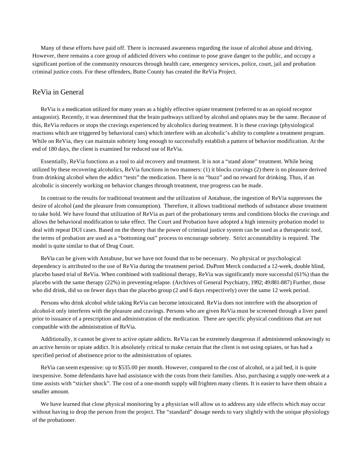Many of these efforts have paid off. There is increased awareness regarding the issue of alcohol abuse and driving. However, there remains a core group of addicted drivers who continue to pose grave danger to the public, and occupy a significant portion of the community resources through health care, emergency services, police, court, jail and probation criminal justice costs. For these offenders, Butte County has created the ReVia Project.

## ReVia in General

ReVia is a medication utilized for many years as a highly effective opiate treatment (referred to as an opioid receptor antagonist). Recently, it was determined that the brain pathways utilized by alcohol and opiates may be the same. Because of this, ReVia reduces or stops the cravings experienced by alcoholics during treatment. It is these cravings (physiological reactions which are triggered by behavioral cues) which interfere with an alcoholic's ability to complete a treatment program. While on ReVia, they can maintain sobriety long enough to successfully establish a pattern of behavior modification. At the end of 180 days, the client is examined for reduced use of ReVia.

Essentially, ReVia functions as a tool to aid recovery and treatment. It is not a "stand alone" treatment. While being utilized by these recovering alcoholics, ReVia functions in two manners: (1) it blocks cravings (2) there is no pleasure derived from drinking alcohol when the addict "tests" the medication. There is no "buzz" and no reward for drinking. Thus, if an alcoholic is sincerely working on behavior changes through treatment, true progress can be made.

In contrast to the results for traditional treatment and the utilization of Antabuse, the ingestion of ReVia suppresses the desire of alcohol (and the pleasure from consumption). Therefore, it allows traditional methods of substance abuse treatment to take hold. We have found that utilization of ReVia as part of the probationary terms and conditions blocks the cravings and allows the behavioral modification to take effect. The Court and Probation have adopted a high intensity probation model to deal with repeat DUI cases. Based on the theory that the power of criminal justice system can be used as a therapeutic tool, the terms of probation are used as a "bottoming out" process to encourage sobriety. Strict accountability is required. The model is quite similar to that of Drug Court.

ReVia can be given with Antabuse, but we have not found that to be necessary. No physical or psychological dependency is attributed to the use of ReVia during the treatment period. DuPont Merck conducted a 12-week, double blind, placebo based trial of ReVia. When combined with traditional therapy, ReVia was significantly more successful (61%) than the placebo with the same therapy (22%) in preventing relapse. (Archives of General Psychiatry, 1992; 49:881-887) Further, those who did drink, did so on fewer days than the placebo group (2 and 6 days respectively) over the same 12 week period.

Persons who drink alcohol while taking ReVia can become intoxicated. ReVia does not interfere with the absorption of alcohol-it only interferes with the pleasure and cravings. Persons who are given ReVia must be screened through a liver panel prior to issuance of a prescription and administration of the medication. There are specific physical conditions that are not compatible with the administration of ReVia.

Additionally, it cannot be given to active opiate addicts. ReVia can be extremely dangerous if administered unknowingly to an active heroin or opiate addict. It is absolutely critical to make certain that the client is not using opiates, or has had a specified period of abstinence prior to the administration of opiates.

ReVia can seem expensive: up to \$535.00 per month. However, compared to the cost of alcohol, or a jail bed, it is quite inexpensive. Some defendants have had assistance with the costs from their families. Also, purchasing a supply one-week at a time assists with "sticker shock". The cost of a one-month supply will frighten many clients. It is easier to have them obtain a smaller amount.

We have learned that close physical monitoring by a physician will allow us to address any side effects which may occur without having to drop the person from the project. The "standard" dosage needs to vary slightly with the unique physiology of the probationer.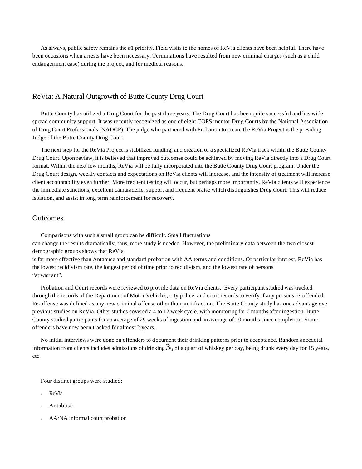As always, public safety remains the #1 priority. Field visits to the homes of ReVia clients have been helpful. There have been occasions when arrests have been necessary. Terminations have resulted from new criminal charges (such as a child endangerment case) during the project, and for medical reasons.

#### ReVia: A Natural Outgrowth of Butte County Drug Court

Butte County has utilized a Drug Court for the past three years. The Drug Court has been quite successful and has wide spread community support. It was recently recognized as one of eight COPS mentor Drug Courts by the National Association of Drug Court Professionals (NADCP). The judge who partnered with Probation to create the ReVia Project is the presiding Judge of the Butte County Drug Court.

The next step for the ReVia Project is stabilized funding, and creation of a specialized ReVia track within the Butte County Drug Court. Upon review, it is believed that improved outcomes could be achieved by moving ReVia directly into a Drug Court format. Within the next few months, ReVia will be fully incorporated into the Butte County Drug Court program. Under the Drug Court design, weekly contacts and expectations on ReVia clients will increase, and the intensity of treatment will increase client accountability even further. More frequent testing will occur, but perhaps more importantly, ReVia clients will experience the immediate sanctions, excellent camaraderie, support and frequent praise which distinguishes Drug Court. This will reduce isolation, and assist in long term reinforcement for recovery.

### **Outcomes**

Comparisons with such a small group can be difficult. Small fluctuations can change the results dramatically, thus, more study is needed. However, the preliminary data between the two closest demographic groups shows that ReVia

is far more effective than Antabuse and standard probation with AA terms and conditions. Of particular interest, ReVia has the lowest recidivism rate, the longest period of time prior to recidivism, and the lowest rate of persons "at warrant".

Probation and Court records were reviewed to provide data on ReVia clients. Every participant studied was tracked through the records of the Department of Motor Vehicles, city police, and court records to verify if any persons re-offended. Re-offense was defined as any new criminal offense other than an infraction. The Butte County study has one advantage over previous studies on ReVia. Other studies covered a 4 to 12 week cycle, with monitoring for 6 months after ingestion. Butte County studied participants for an average of 29 weeks of ingestion and an average of 10 months since completion. Some offenders have now been tracked for almost 2 years.

No initial interviews were done on offenders to document their drinking patterns prior to acceptance. Random anecdotal information from clients includes admissions of drinking  $3/4$  of a quart of whiskey per day, being drunk every day for 15 years, etc.

Four distinct groups were studied:

- ReVia
- Antabuse
- AA/NA informal court probation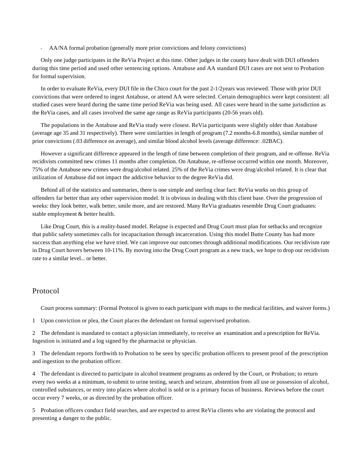<sup>u</sup> AA/NA formal probation (generally more prior convictions and felony convictions)

Only one judge participates in the ReVia Project at this time. Other judges in the county have dealt with DUI offenders during this time period and used other sentencing options. Antabuse and AA standard DUI cases are not sent to Probation for formal supervision.

In order to evaluate ReVia, every DUI file in the Chico court for the past 2-1/2years was reviewed. Those with prior DUI convictions that were ordered to ingest Antabuse, or attend AA were selected. Certain demographics were kept consistent: all studied cases were heard during the same time period ReVia was being used. All cases were heard in the same jurisdiction as the ReVia cases, and all cases involved the same age range as ReVia participants (20-56 years old).

The populations in the Antabuse and ReVia study were closest. ReVia participants were slightly older than Antabuse (average age 35 and 31 respectively). There were similarities in length of program (7.2 months-6.8 months), similar number of prior convictions (.03 difference on average), and similar blood alcohol levels (average difference: .02BAC).

However a significant difference appeared in the length of time between completion of their program, and re-offense. ReVia recidivists committed new crimes 11 months after completion. On Antabuse, re-offense occurred within one month. Moreover, 75% of the Antabuse new crimes were drug/alcohol related. 25% of the ReVia crimes were drug/alcohol related. It is clear that utilization of Antabuse did not impact the addictive behavior to the degree ReVia did.

Behind all of the statistics and summaries, there is one simple and sterling clear fact: ReVia works on this group of offenders far better than any other supervision model. It is obvious in dealing with this client base. Over the progression of weeks: they look better, walk better, smile more, and are restored. Many ReVia graduates resemble Drug Court graduates: stable employment & better health.

Like Drug Court, this is a reality-based model. Relapse is expected and Drug Court must plan for setbacks and recognize that public safety sometimes calls for incapacitation through incarceration. Using this model Butte County has had more success than anything else we have tried. We can improve our outcomes through additional modifications. Our recidivism rate in Drug Court hovers between 10-11%. By moving into the Drug Court program as a new track, we hope to drop our recidivism rate to a similar level... or better.

## Protocol

Court process summary: (Formal Protocol is given to each participant with maps to the medical facilities, and waiver forms.)

1 Upon conviction or plea, the Court places the defendant on formal supervised probation.

2 The defendant is mandated to contact a physician immediately, to receive an examination and a prescription for ReVia. Ingestion is initiated and a log signed by the pharmacist or physician.

3 The defendant reports forthwith to Probation to be seen by specific probation officers to present proof of the prescription and ingestion to the probation officer.

4 The defendant is directed to participate in alcohol treatment programs as ordered by the Court, or Probation; to return every two weeks at a minimum, to submit to urine testing, search and seizure, abstention from all use or possession of alcohol, controlled substances, or entry into places where alcohol is sold or is a primary focus of business. Reviews before the court occur every 7 weeks, or as directed by the probation officer.

5 Probation officers conduct field searches, and are expected to arrest ReVia clients who are violating the protocol and presenting a danger to the public.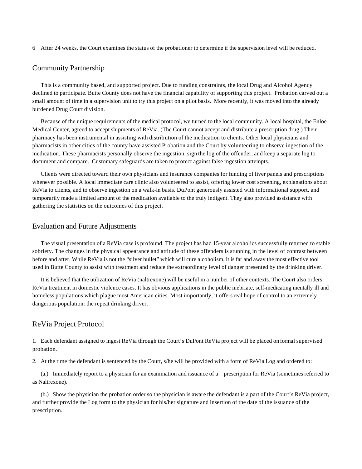6 After 24 weeks, the Court examines the status of the probationer to determine if the supervision level will be reduced.

## Community Partnership

This is a community based, and supported project. Due to funding constraints, the local Drug and Alcohol Agency declined to participate. Butte County does not have the financial capability of supporting this project. Probation carved out a small amount of time in a supervision unit to try this project on a pilot basis. More recently, it was moved into the already burdened Drug Court division.

Because of the unique requirements of the medical protocol, we turned to the local community. A local hospital, the Enloe Medical Center, agreed to accept shipments of ReVia. (The Court cannot accept and distribute a prescription drug.) Their pharmacy has been instrumental in assisting with distribution of the medication to clients. Other local physicians and pharmacists in other cities of the county have assisted Probation and the Court by volunteering to observe ingestion of the medication. These pharmacists personally observe the ingestion, sign the log of the offender, and keep a separate log to document and compare. Customary safeguards are taken to protect against false ingestion attempts.

Clients were directed toward their own physicians and insurance companies for funding of liver panels and prescriptions whenever possible. A local immediate care clinic also volunteered to assist, offering lower cost screening, explanations about ReVia to clients, and to observe ingestion on a walk-in basis. DuPont generously assisted with informational support, and temporarily made a limited amount of the medication available to the truly indigent. They also provided assistance with gathering the statistics on the outcomes of this project.

#### Evaluation and Future Adjustments

The visual presentation of a ReVia case is profound. The project has had 15-year alcoholics successfully returned to stable sobriety. The changes in the physical appearance and attitude of these offenders is stunning in the level of contrast between before and after. While ReVia is not the "silver bullet" which will cure alcoholism, it is far and away the most effective tool used in Butte County to assist with treatment and reduce the extraordinary level of danger presented by the drinking driver.

It is believed that the utilization of ReVia (naltrexone) will be useful in a number of other contexts. The Court also orders ReVia treatment in domestic violence cases. It has obvious applications in the public inebriate, self-medicating mentally ill and homeless populations which plague most American cities. Most importantly, it offers real hope of control to an extremely dangerous population: the repeat drinking driver.

## ReVia Project Protocol

1. Each defendant assigned to ingest ReVia through the Court's DuPont ReVia project will be placed on formal supervised probation.

2. At the time the defendant is sentenced by the Court, s/he will be provided with a form of ReVia Log and ordered to:

(a.) Immediately report to a physician for an examination and issuance of a prescription for ReVia (sometimes referred to as Naltrexone).

(b.) Show the physician the probation order so the physician is aware the defendant is a part of the Court's ReVia project, and further provide the Log form to the physician for his/her signature and insertion of the date of the issuance of the prescription.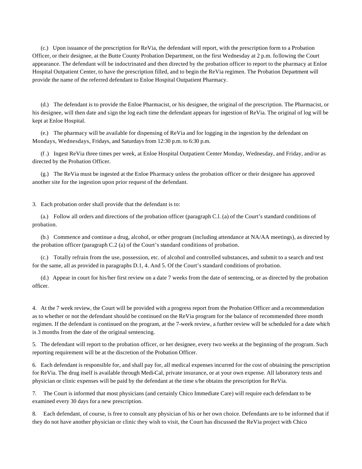(c.) Upon issuance of the prescription for ReVia, the defendant will report, with the prescription form to a Probation Officer, or their designee, at the Butte County Probation Department, on the first Wednesday at 2 p.m. following the Court appearance. The defendant will be indoctrinated and then directed by the probation officer to report to the pharmacy at Enloe Hospital Outpatient Center, to have the prescription filled, and to begin the ReVia regimen. The Probation Department will provide the name of the referred defendant to Enloe Hospital Outpatient Pharmacy.

(d.) The defendant is to provide the Enloe Pharmacist, or his designee, the original of the prescription. The Pharmacist, or his designee, will then date and sign the log each time the defendant appears for ingestion of ReVia. The original of log will be kept at Enloe Hospital.

(e.) The pharmacy will be available for dispensing of ReVia and for logging in the ingestion by the defendant on Mondays, Wednesdays, Fridays, and Saturdays from 12:30 p.m. to 6:30 p.m.

(f .) Ingest ReVia three times per week, at Enloe Hospital Outpatient Center Monday, Wednesday, and Friday, and/or as directed by the Probation Officer.

(g.) The ReVia must be ingested at the Enloe Pharmacy unless the probation officer or their designee has approved another site for the ingestion upon prior request of the defendant.

3. Each probation order shall provide that the defendant is to:

(a.) Follow all orders and directions of the probation officer (paragraph C.l. (a) of the Court's standard conditions of probation.

(b.) Commence and continue a drug, alcohol, or other program (including attendance at NA/AA meetings), as directed by the probation officer (paragraph C.2 (a) of the Court's standard conditions of probation.

(c.) Totally refrain from the use, possession, etc. of alcohol and controlled substances, and submit to a search and test for the same, all as provided in paragraphs D.1, 4. And 5. Of the Court's standard conditions of probation.

(d.) Appear in court for his/her first review on a date 7 weeks from the date of sentencing, or as directed by the probation officer.

4. At the 7 week review, the Court will be provided with a progress report from the Probation Officer and a recommendation as to whether or not the defendant should be continued on the ReVia program for the balance of recommended three month regimen. If the defendant is continued on the program, at the 7-week review, a further review will be scheduled for a date which is 3 months from the date of the original sentencing.

5. The defendant will report to the probation officer, or her designee, every two weeks at the beginning of the program. Such reporting requirement will be at the discretion of the Probation Officer.

6. Each defendant is responsible for, and shall pay for, all medical expenses incurred for the cost of obtaining the prescription for ReVia. The drug itself is available through Medi-Cal, private insurance, or at your own expense. All laboratory tests and physician or clinic expenses will be paid by the defendant at the time s/he obtains the prescription for ReVia.

7. The Court is informed that most physicians (and certainly Chico Immediate Care) will require each defendant to be examined every 30 days for a new prescription.

8. Each defendant, of course, is free to consult any physician of his or her own choice. Defendants are to be informed that if they do not have another physician or clinic they wish to visit, the Court has discussed the ReVia project with Chico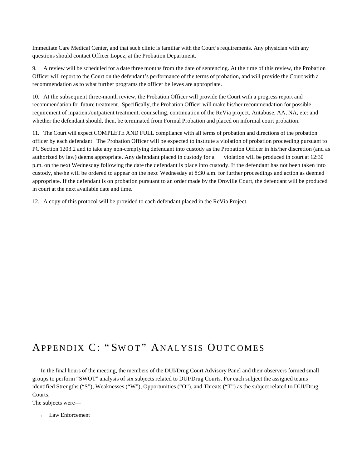Immediate Care Medical Center, and that such clinic is familiar with the Court's requirements. Any physician with any questions should contact Officer Lopez, at the Probation Department.

9. A review will be scheduled for a date three months from the date of sentencing. At the time of this review, the Probation Officer will report to the Court on the defendant's performance of the terms of probation, and will provide the Court with a recommendation as to what further programs the officer believes are appropriate.

10. At the subsequent three-month review, the Probation Officer will provide the Court with a progress report and recommendation for future treatment. Specifically, the Probation Officer will make his/her recommendation for possible requirement of inpatient/outpatient treatment, counseling, continuation of the ReVia project, Antabuse, AA, NA, etc: and whether the defendant should, then, be terminated from Formal Probation and placed on informal court probation.

11. The Court will expect COMPLETE AND FULL compliance with all terms of probation and directions of the probation officer by each defendant. The Probation Officer will be expected to institute a violation of probation proceeding pursuant to PC Section 1203.2 and to take any non-complying defendant into custody as the Probation Officer in his/her discretion (and as authorized by law) deems appropriate. Any defendant placed in custody for a violation will be produced in court at 12:30 p.m. on the next Wednesday following the date the defendant is place into custody. If the defendant has not been taken into custody, she/he will be ordered to appear on the next Wednesday at 8:30 a.m. for further proceedings and action as deemed appropriate. If the defendant is on probation pursuant to an order made by the Oroville Court, the defendant will be produced in court at the next available date and time.

12. A copy of this protocol will be provided to each defendant placed in the ReVia Project.

# APPENDIX C: "SWOT" ANALYSIS OUTCOMES

In the final hours of the meeting, the members of the DUI/Drug Court Advisory Panel and their observers formed small groups to perform "SWOT" analysis of six subjects related to DUI/Drug Courts. For each subject the assigned teams identified Strengths ("S"), Weaknesses ("W"), Opportunities ("O"), and Threats ("T") as the subject related to DUI/Drug Courts.

The subjects were—

<sup>u</sup> Law Enforcement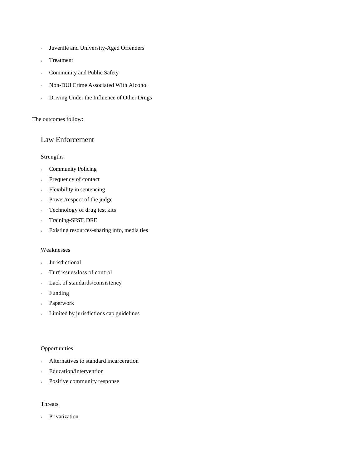- <sup>u</sup> Juvenile and University-Aged Offenders
- Treatment
- **Community and Public Safety**
- <sup>u</sup> Non-DUI Crime Associated With Alcohol
- <sup>u</sup> Driving Under the Influence of Other Drugs

#### The outcomes follow:

## Law Enforcement

#### Strengths

- <sup>u</sup> Community Policing
- Frequency of contact
- <sup>u</sup> Flexibility in sentencing
- <sup>u</sup> Power/respect of the judge
- <sup>u</sup> Technology of drug test kits
- Training-SFST, DRE
- Existing resources-sharing info, media ties

#### Weaknesses

- **Jurisdictional**
- <sup>u</sup> Turf issues/loss of control
- Lack of standards/consistency
- Funding
- <sup>u</sup> Paperwork
- Limited by jurisdictions cap guidelines

#### **Opportunities**

- Alternatives to standard incarceration
- <sup>u</sup> Education/intervention
- <sup>u</sup> Positive community response

## Threats

<sup>u</sup> Privatization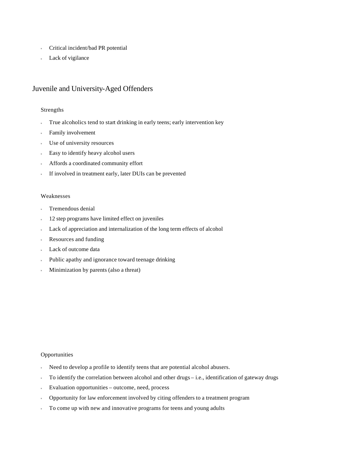- <sup>u</sup> Critical incident/bad PR potential
- Lack of vigilance

## Juvenile and University-Aged Offenders

#### Strengths

- True alcoholics tend to start drinking in early teens; early intervention key
- Family involvement
- Use of university resources
- <sup>u</sup> Easy to identify heavy alcohol users
- Affords a coordinated community effort
- If involved in treatment early, later DUIs can be prevented

#### Weaknesses

- <sup>u</sup> Tremendous denial
- <sup>u</sup> 12 step programs have limited effect on juveniles
- Lack of appreciation and internalization of the long term effects of alcohol
- Resources and funding
- Lack of outcome data
- Public apathy and ignorance toward teenage drinking
- Minimization by parents (also a threat)

#### **Opportunities**

- Need to develop a profile to identify teens that are potential alcohol abusers.
- <sup>u</sup> To identify the correlation between alcohol and other drugs i.e., identification of gateway drugs
- <sup>u</sup> Evaluation opportunities outcome, need, process
- Opportunity for law enforcement involved by citing offenders to a treatment program
- <sup>u</sup> To come up with new and innovative programs for teens and young adults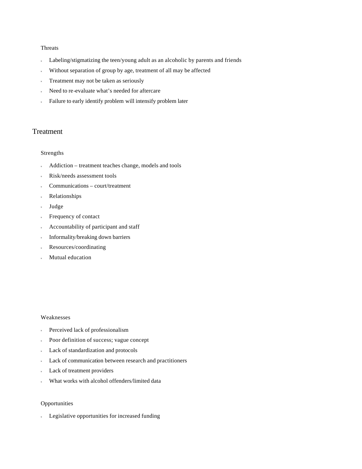#### Threats

- Labeling/stigmatizing the teen/young adult as an alcoholic by parents and friends
- Without separation of group by age, treatment of all may be affected
- Treatment may not be taken as seriously
- Need to re-evaluate what's needed for aftercare
- Failure to early identify problem will intensify problem later

## **Treatment**

#### Strengths

- <sup>u</sup> Addiction treatment teaches change, models and tools
- Risk/needs assessment tools
- <sup>u</sup> Communications court/treatment
- <sup>u</sup> Relationships
- <sup>u</sup> Judge
- <sup>u</sup> Frequency of contact
- <sup>u</sup> Accountability of participant and staff
- Informality/breaking down barriers
- Resources/coordinating
- Mutual education

#### Weaknesses

- <sup>u</sup> Perceived lack of professionalism
- <sup>u</sup> Poor definition of success; vague concept
- <sup>u</sup> Lack of standardization and protocols
- Lack of communication between research and practitioners
- <sup>u</sup> Lack of treatment providers
- What works with alcohol offenders/limited data

#### Opportunities

<sup>u</sup> Legislative opportunities for increased funding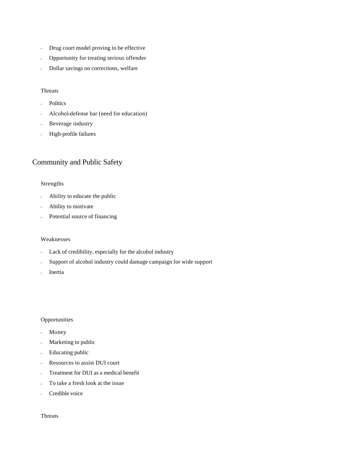- <sup>u</sup> Drug court model proving to be effective
- **Deportunity for treating serious offender**
- Dollar savings on corrections, welfare

#### Threats

- <sup>u</sup> Politics
- Alcohol-defense bar (need for education)
- Beverage industry
- <sup>u</sup> High-profile failures

## Community and Public Safety

#### Strengths

- <sup>u</sup> Ability to educate the public
- Ability to motivate
- Potential source of financing

#### Weaknesses

- Lack of credibility, especially for the alcohol industry
- Support of alcohol industry could damage campaign for wide support
- <sup>u</sup> Inertia

#### **Opportunities**

- <sup>u</sup> Money
- Marketing to public
- <sup>u</sup> Educating public
- <sup>u</sup> Resources to assist DUI court
- Treatment for DUI as a medical benefit
- To take a fresh look at the issue
- Credible voice

Threats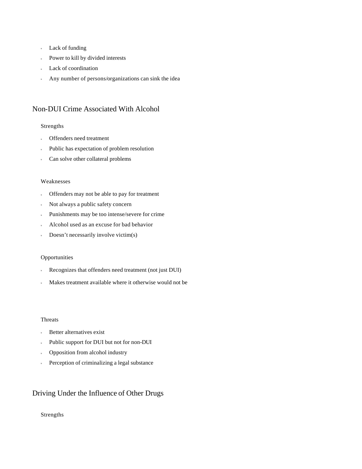- <sup>u</sup> Lack of funding
- <sup>u</sup> Power to kill by divided interests
- Lack of coordination
- <sup>u</sup> Any number of persons/organizations can sink the idea

## Non-DUI Crime Associated With Alcohol

#### Strengths

- <sup>u</sup> Offenders need treatment
- Public has expectation of problem resolution
- <sup>u</sup> Can solve other collateral problems

#### Weaknesses

- <sup>u</sup> Offenders may not be able to pay for treatment
- Not always a public safety concern
- <sup>u</sup> Punishments may be too intense/severe for crime
- <sup>u</sup> Alcohol used as an excuse for bad behavior
- Doesn't necessarily involve victim(s)

#### **Opportunities**

- <sup>u</sup> Recognizes that offenders need treatment (not just DUI)
- Makes treatment available where it otherwise would not be

#### Threats

- <sup>u</sup> Better alternatives exist
- Public support for DUI but not for non-DUI
- <sup>u</sup> Opposition from alcohol industry
- **Perception of criminalizing a legal substance**

## Driving Under the Influence of Other Drugs

#### Strengths